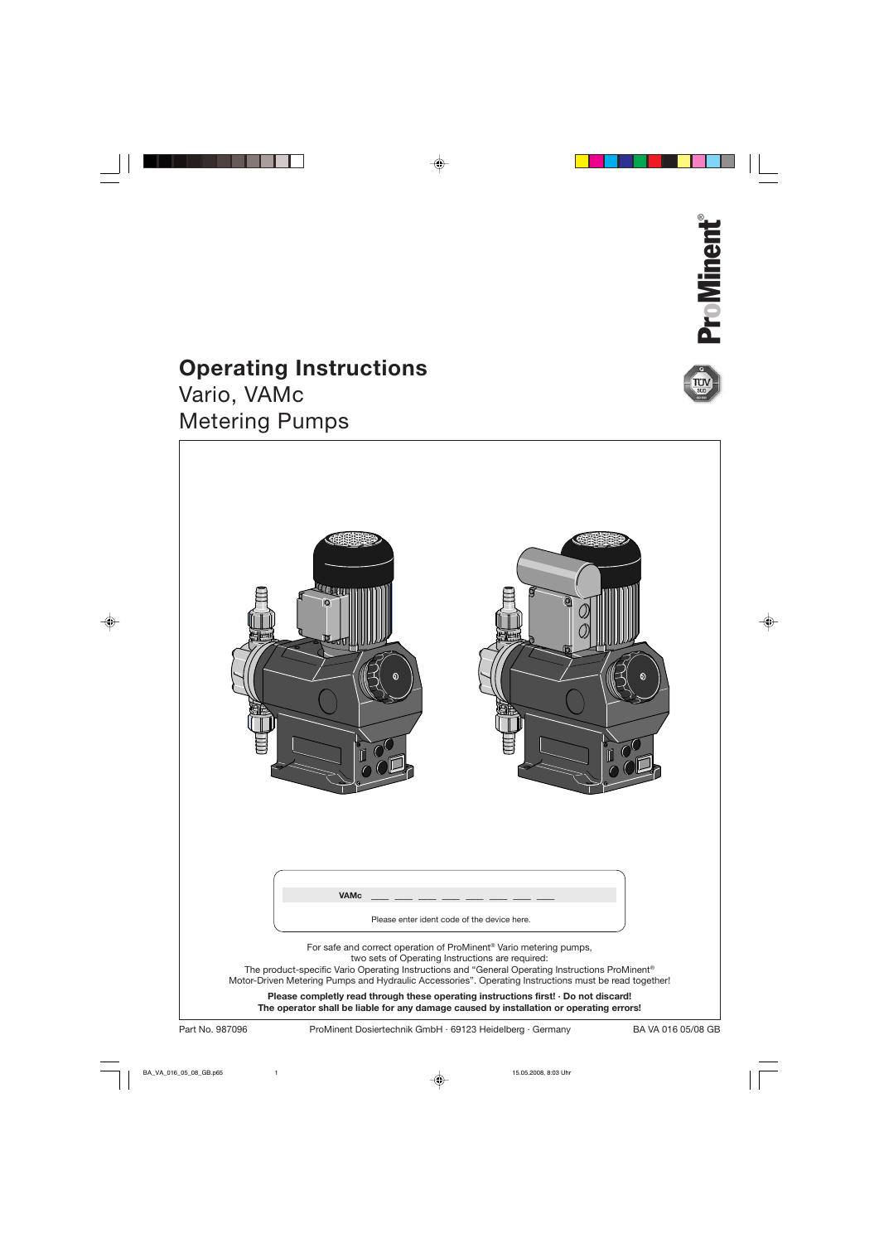

# **Operating Instructions**

Vario, VAMc Metering Pumps

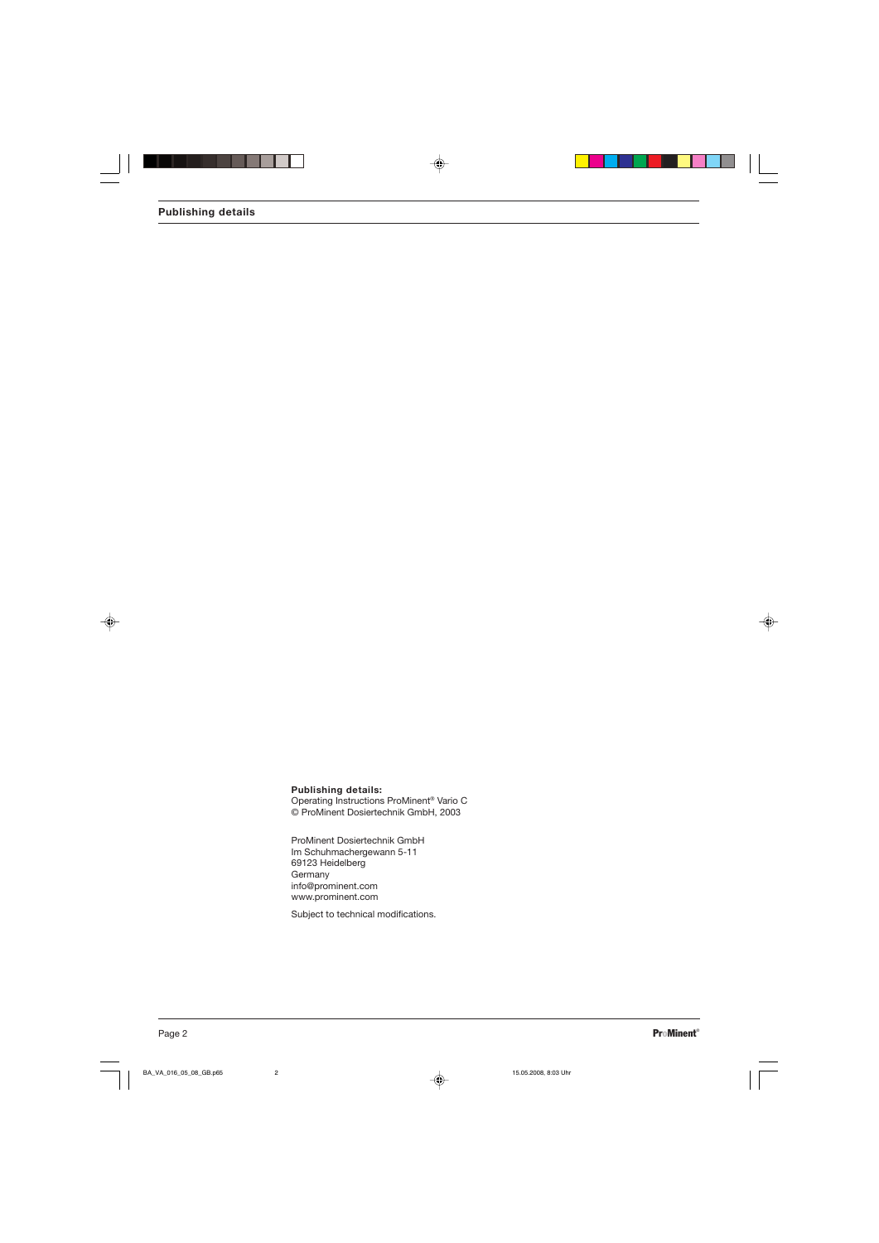## **Publishing details:**

Operating Instructions ProMinent® Vario C © ProMinent Dosiertechnik GmbH, 2003

ProMinent Dosiertechnik GmbH Im Schuhmachergewann 5-11 69123 Heidelberg Germany info@prominent.com www.prominent.com

Subject to technical modifications.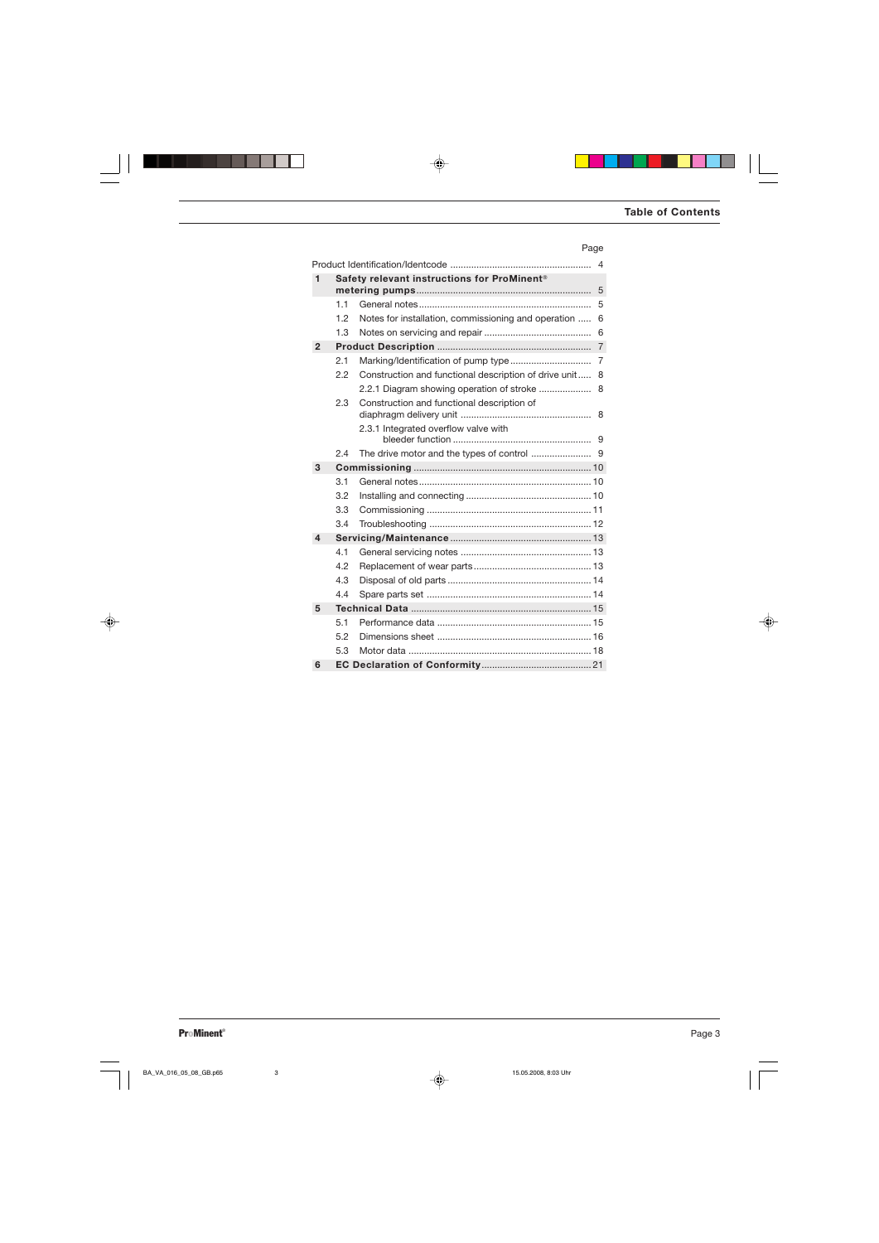## Page

|              | $\overline{4}$                              |                                                       |                |  |  |  |  |
|--------------|---------------------------------------------|-------------------------------------------------------|----------------|--|--|--|--|
| 1            | Safety relevant instructions for ProMinent® |                                                       |                |  |  |  |  |
|              | 5                                           |                                                       |                |  |  |  |  |
|              | 11                                          |                                                       | 5              |  |  |  |  |
|              | 1.2                                         | Notes for installation, commissioning and operation   | 6              |  |  |  |  |
|              | 1.3                                         |                                                       | 6              |  |  |  |  |
| $\mathbf{2}$ |                                             |                                                       | $\overline{7}$ |  |  |  |  |
|              | 2.1                                         |                                                       | 7              |  |  |  |  |
|              | 2.2                                         | Construction and functional description of drive unit | 8              |  |  |  |  |
|              |                                             | 2.2.1 Diagram showing operation of stroke             | 8              |  |  |  |  |
|              | 2.3                                         | Construction and functional description of            |                |  |  |  |  |
|              |                                             |                                                       | 8              |  |  |  |  |
|              |                                             | 2.3.1 Integrated overflow valve with                  |                |  |  |  |  |
|              |                                             |                                                       |                |  |  |  |  |
|              | 2.4                                         |                                                       |                |  |  |  |  |
| 3            |                                             |                                                       |                |  |  |  |  |
|              | 3.1                                         |                                                       |                |  |  |  |  |
|              | 3.2                                         |                                                       |                |  |  |  |  |
|              | 3.3                                         |                                                       |                |  |  |  |  |
|              | 3.4                                         |                                                       |                |  |  |  |  |
| 4            |                                             |                                                       |                |  |  |  |  |
|              | 4.1                                         |                                                       |                |  |  |  |  |
|              | 4.2                                         |                                                       |                |  |  |  |  |
|              | 4.3                                         |                                                       |                |  |  |  |  |
|              | 4.4                                         |                                                       |                |  |  |  |  |
| 5            |                                             |                                                       |                |  |  |  |  |
|              | 5.1                                         |                                                       |                |  |  |  |  |
|              | 5.2                                         |                                                       |                |  |  |  |  |
|              | 5.3                                         |                                                       |                |  |  |  |  |
| 6            |                                             |                                                       |                |  |  |  |  |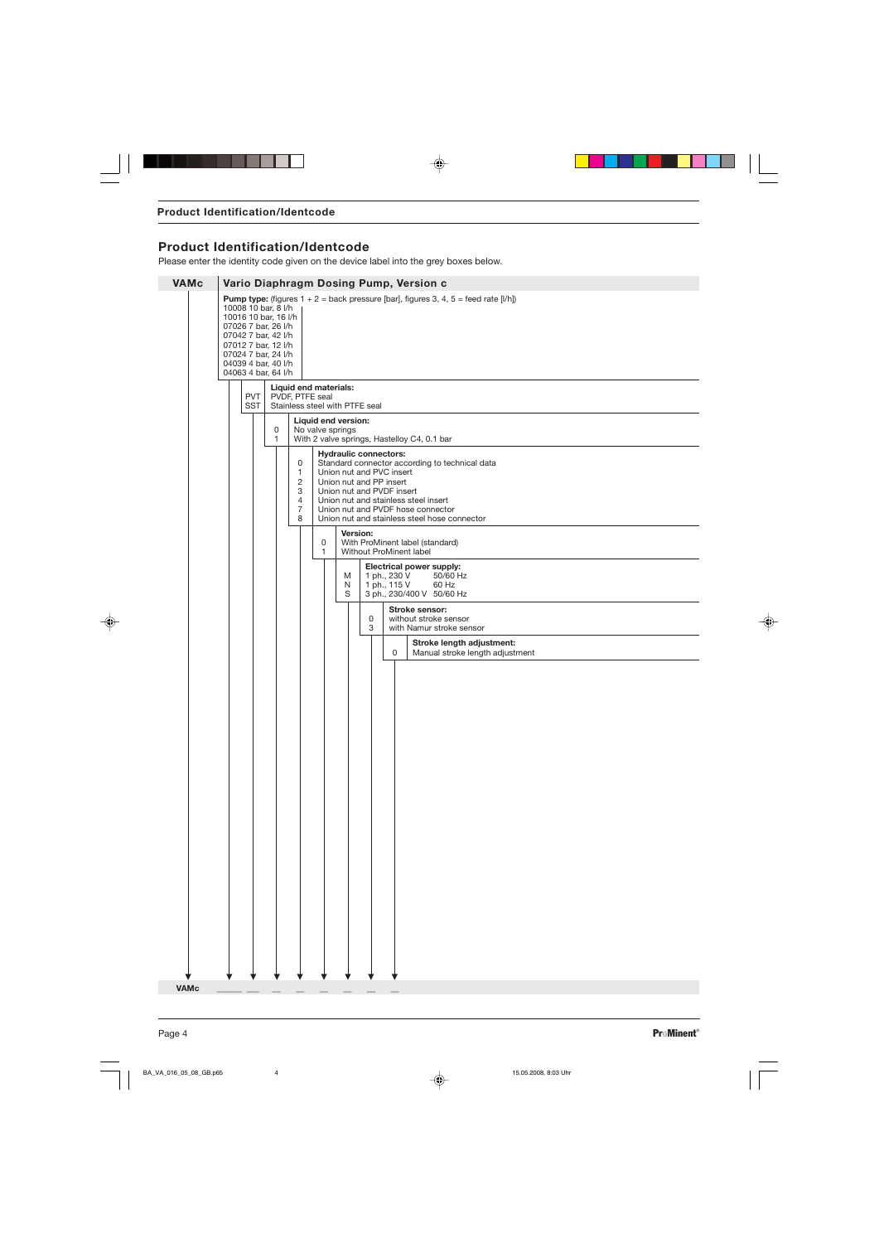# **Product Identification/Identcode**

Please enter the identity code given on the device label into the grey boxes below.

| <b>VAMc</b> |                                                                                                                                                                                       | Vario Diaphragm Dosing Pump, Version c |                          |  |                   |                                         |                                                                             |                                                                                                  |                                                                                                                                                                                                                                                                                                                                                |                                                                                                                 |                                             |  |  |
|-------------|---------------------------------------------------------------------------------------------------------------------------------------------------------------------------------------|----------------------------------------|--------------------------|--|-------------------|-----------------------------------------|-----------------------------------------------------------------------------|--------------------------------------------------------------------------------------------------|------------------------------------------------------------------------------------------------------------------------------------------------------------------------------------------------------------------------------------------------------------------------------------------------------------------------------------------------|-----------------------------------------------------------------------------------------------------------------|---------------------------------------------|--|--|
|             | 10008 10 bar, 8 l/h<br>10016 10 bar, 16 l/h<br>07026 7 bar, 26 l/h<br>07042 7 bar, 42 l/h<br>07012 7 bar, 12 l/h<br>07024 7 bar, 24 l/h<br>04039 4 bar, 40 l/h<br>04063 4 bar, 64 l/h |                                        |                          |  |                   |                                         |                                                                             |                                                                                                  | <b>Pump type:</b> (figures $1 + 2 =$ back pressure [bar], figures 3, 4, 5 = feed rate [l/h])                                                                                                                                                                                                                                                   |                                                                                                                 |                                             |  |  |
|             |                                                                                                                                                                                       |                                        | <b>PVT</b><br><b>SST</b> |  | PVDF, PTFE seal   |                                         |                                                                             | Liquid end materials:<br>Stainless steel with PTFE seal                                          |                                                                                                                                                                                                                                                                                                                                                |                                                                                                                 |                                             |  |  |
|             |                                                                                                                                                                                       |                                        |                          |  | 0<br>$\mathbf{1}$ | Liquid end version:<br>No valve springs |                                                                             |                                                                                                  |                                                                                                                                                                                                                                                                                                                                                |                                                                                                                 | With 2 valve springs, Hastelloy C4, 0.1 bar |  |  |
|             |                                                                                                                                                                                       |                                        |                          |  |                   | 0<br>1<br>2<br>3<br>4<br>7<br>8         | 0                                                                           |                                                                                                  | <b>Hydraulic connectors:</b><br>Standard connector according to technical data<br>Union nut and PVC insert<br>Union nut and PP insert<br>Union nut and PVDF insert<br>Union nut and stainless steel insert<br>Union nut and PVDF hose connector<br>Union nut and stainless steel hose connector<br>Version:<br>With ProMinent label (standard) |                                                                                                                 |                                             |  |  |
|             |                                                                                                                                                                                       |                                        |                          |  |                   |                                         | $\mathbf{1}$                                                                |                                                                                                  | M<br>N                                                                                                                                                                                                                                                                                                                                         | Without ProMinent label<br><b>Electrical power supply:</b><br>1 ph., 230 V<br>50/60 Hz<br>1 ph., 115 V<br>60 Hz |                                             |  |  |
|             |                                                                                                                                                                                       |                                        |                          |  |                   | S                                       | 0<br>3                                                                      | 3 ph., 230/400 V 50/60 Hz<br>Stroke sensor:<br>without stroke sensor<br>with Namur stroke sensor |                                                                                                                                                                                                                                                                                                                                                |                                                                                                                 |                                             |  |  |
|             |                                                                                                                                                                                       |                                        |                          |  |                   |                                         | Stroke length adjustment:<br>$\mathbf 0$<br>Manual stroke length adjustment |                                                                                                  |                                                                                                                                                                                                                                                                                                                                                |                                                                                                                 |                                             |  |  |
|             |                                                                                                                                                                                       |                                        |                          |  |                   |                                         |                                                                             |                                                                                                  |                                                                                                                                                                                                                                                                                                                                                |                                                                                                                 |                                             |  |  |
|             |                                                                                                                                                                                       |                                        |                          |  |                   |                                         |                                                                             |                                                                                                  |                                                                                                                                                                                                                                                                                                                                                |                                                                                                                 |                                             |  |  |
|             |                                                                                                                                                                                       |                                        |                          |  |                   |                                         |                                                                             |                                                                                                  |                                                                                                                                                                                                                                                                                                                                                |                                                                                                                 |                                             |  |  |
|             |                                                                                                                                                                                       |                                        |                          |  |                   |                                         |                                                                             |                                                                                                  |                                                                                                                                                                                                                                                                                                                                                |                                                                                                                 |                                             |  |  |
|             |                                                                                                                                                                                       |                                        |                          |  |                   |                                         |                                                                             |                                                                                                  |                                                                                                                                                                                                                                                                                                                                                |                                                                                                                 |                                             |  |  |
|             |                                                                                                                                                                                       |                                        |                          |  |                   |                                         |                                                                             |                                                                                                  |                                                                                                                                                                                                                                                                                                                                                |                                                                                                                 |                                             |  |  |
|             |                                                                                                                                                                                       |                                        |                          |  |                   |                                         |                                                                             |                                                                                                  |                                                                                                                                                                                                                                                                                                                                                |                                                                                                                 |                                             |  |  |
|             |                                                                                                                                                                                       |                                        |                          |  |                   |                                         |                                                                             |                                                                                                  |                                                                                                                                                                                                                                                                                                                                                |                                                                                                                 |                                             |  |  |
|             |                                                                                                                                                                                       |                                        |                          |  |                   |                                         |                                                                             |                                                                                                  |                                                                                                                                                                                                                                                                                                                                                |                                                                                                                 |                                             |  |  |
| <b>VAMc</b> |                                                                                                                                                                                       |                                        |                          |  |                   |                                         |                                                                             |                                                                                                  |                                                                                                                                                                                                                                                                                                                                                |                                                                                                                 |                                             |  |  |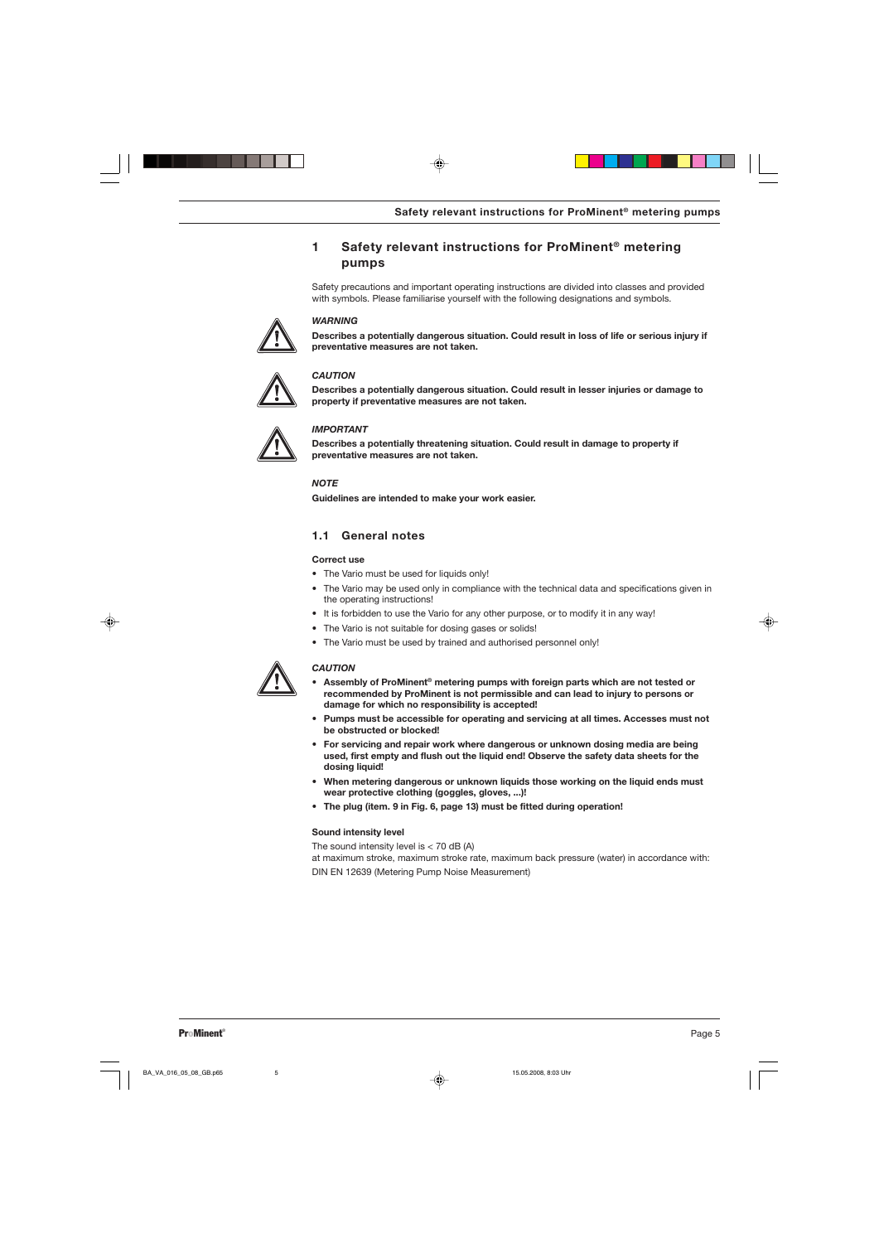# **1 Safety relevant instructions for ProMinent® metering pumps**

Safety precautions and important operating instructions are divided into classes and provided with symbols. Please familiarise yourself with the following designations and symbols.



## *WARNING*

**Describes a potentially dangerous situation. Could result in loss of life or serious injury if preventative measures are not taken.**



## *CAUTION*

**Describes a potentially dangerous situation. Could result in lesser injuries or damage to property if preventative measures are not taken.**



## *IMPORTANT*

**Describes a potentially threatening situation. Could result in damage to property if preventative measures are not taken.**

*NOTE*

**Guidelines are intended to make your work easier.**

## **1.1 General notes**

### **Correct use**

- The Vario must be used for liquids only!
- The Vario may be used only in compliance with the technical data and specifications given in the operating instructions!
- It is forbidden to use the Vario for any other purpose, or to modify it in any way!
- The Vario is not suitable for dosing gases or solids!
- The Vario must be used by trained and authorised personnel only!



### *CAUTION*

- **• Assembly of ProMinent® metering pumps with foreign parts which are not tested or recommended by ProMinent is not permissible and can lead to injury to persons or damage for which no responsibility is accepted!**
- **• Pumps must be accessible for operating and servicing at all times. Accesses must not be obstructed or blocked!**
- **• For servicing and repair work where dangerous or unknown dosing media are being used, first empty and flush out the liquid end! Observe the safety data sheets for the dosing liquid!**
- **• When metering dangerous or unknown liquids those working on the liquid ends must wear protective clothing (goggles, gloves, ...)!**
- **• The plug (item. 9 in Fig. 6, page 13) must be fitted during operation!**

### **Sound intensity level**

The sound intensity level is  $<$  70 dB (A)

at maximum stroke, maximum stroke rate, maximum back pressure (water) in accordance with: DIN EN 12639 (Metering Pump Noise Measurement)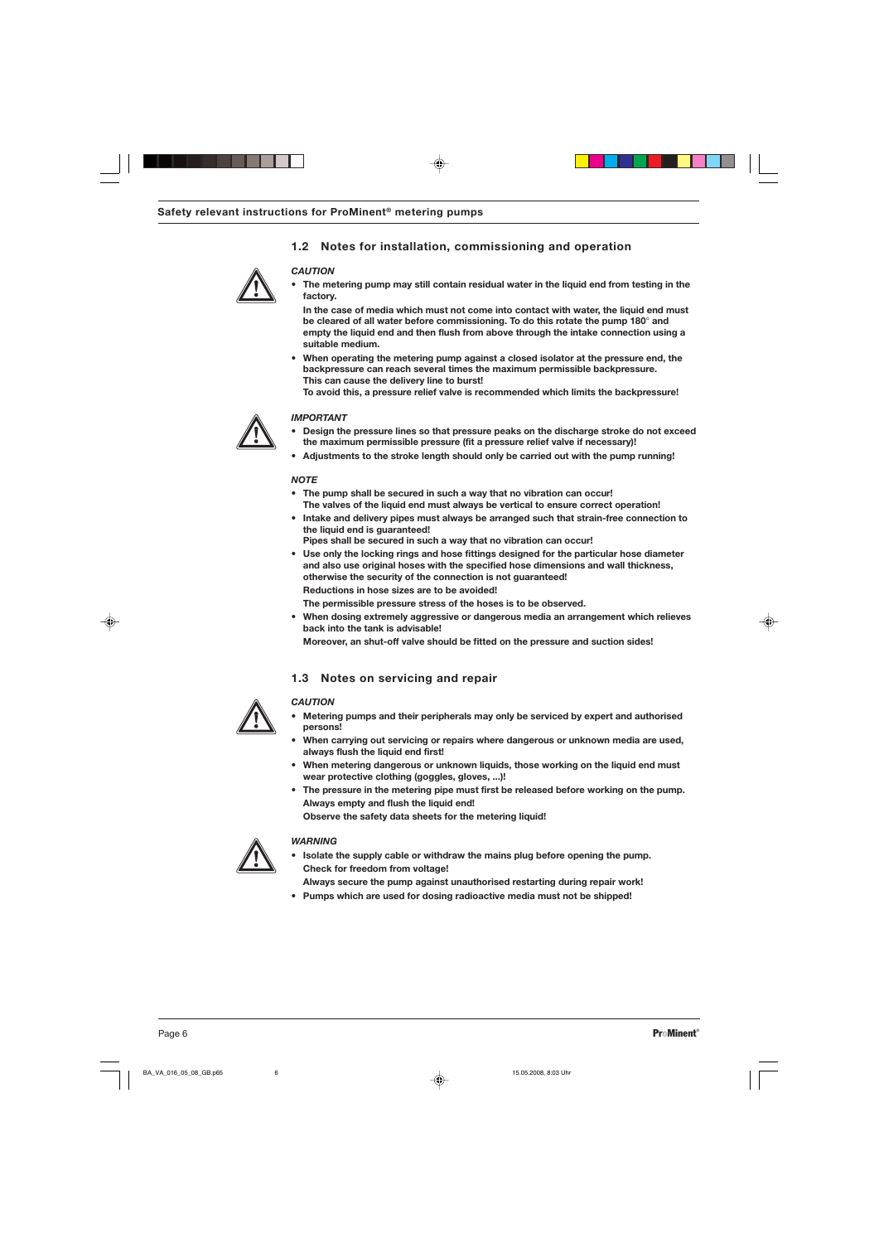## **1.2 Notes for installation, commissioning and operation**



## *CAUTION*

**• The metering pump may still contain residual water in the liquid end from testing in the factory.**

**In the case of media which must not come into contact with water, the liquid end must be cleared of all water before commissioning. To do this rotate the pump 180**° **and empty the liquid end and then flush from above through the intake connection using a suitable medium.**

**• When operating the metering pump against a closed isolator at the pressure end, the backpressure can reach several times the maximum permissible backpressure. This can cause the delivery line to burst!**

**To avoid this, a pressure relief valve is recommended which limits the backpressure!**



#### *IMPORTANT*

- **• Design the pressure lines so that pressure peaks on the discharge stroke do not exceed the maximum permissible pressure (fit a pressure relief valve if necessary)!**
- **• Adjustments to the stroke length should only be carried out with the pump running!**

#### *NOTE*

- **• The pump shall be secured in such a way that no vibration can occur! The valves of the liquid end must always be vertical to ensure correct operation!**
- **• Intake and delivery pipes must always be arranged such that strain-free connection to the liquid end is guaranteed!**
	- **Pipes shall be secured in such a way that no vibration can occur!**
- **• Use only the locking rings and hose fittings designed for the particular hose diameter and also use original hoses with the specified hose dimensions and wall thickness, otherwise the security of the connection is not guaranteed! Reductions in hose sizes are to be avoided!**
- **The permissible pressure stress of the hoses is to be observed.**
- **• When dosing extremely aggressive or dangerous media an arrangement which relieves back into the tank is advisable!**
	- **Moreover, an shut-off valve should be fitted on the pressure and suction sides!**

### **1.3 Notes on servicing and repair**



### *CAUTION*

- **• Metering pumps and their peripherals may only be serviced by expert and authorised persons!**
- **• When carrying out servicing or repairs where dangerous or unknown media are used, always flush the liquid end first!**
- **• When metering dangerous or unknown liquids, those working on the liquid end must wear protective clothing (goggles, gloves, ...)!**
- **• The pressure in the metering pipe must first be released before working on the pump. Always empty and flush the liquid end!**

**Observe the safety data sheets for the metering liquid!**



#### *WARNING*

- **• Isolate the supply cable or withdraw the mains plug before opening the pump. Check for freedom from voltage!**
- **Always secure the pump against unauthorised restarting during repair work!**
- **• Pumps which are used for dosing radioactive media must not be shipped!**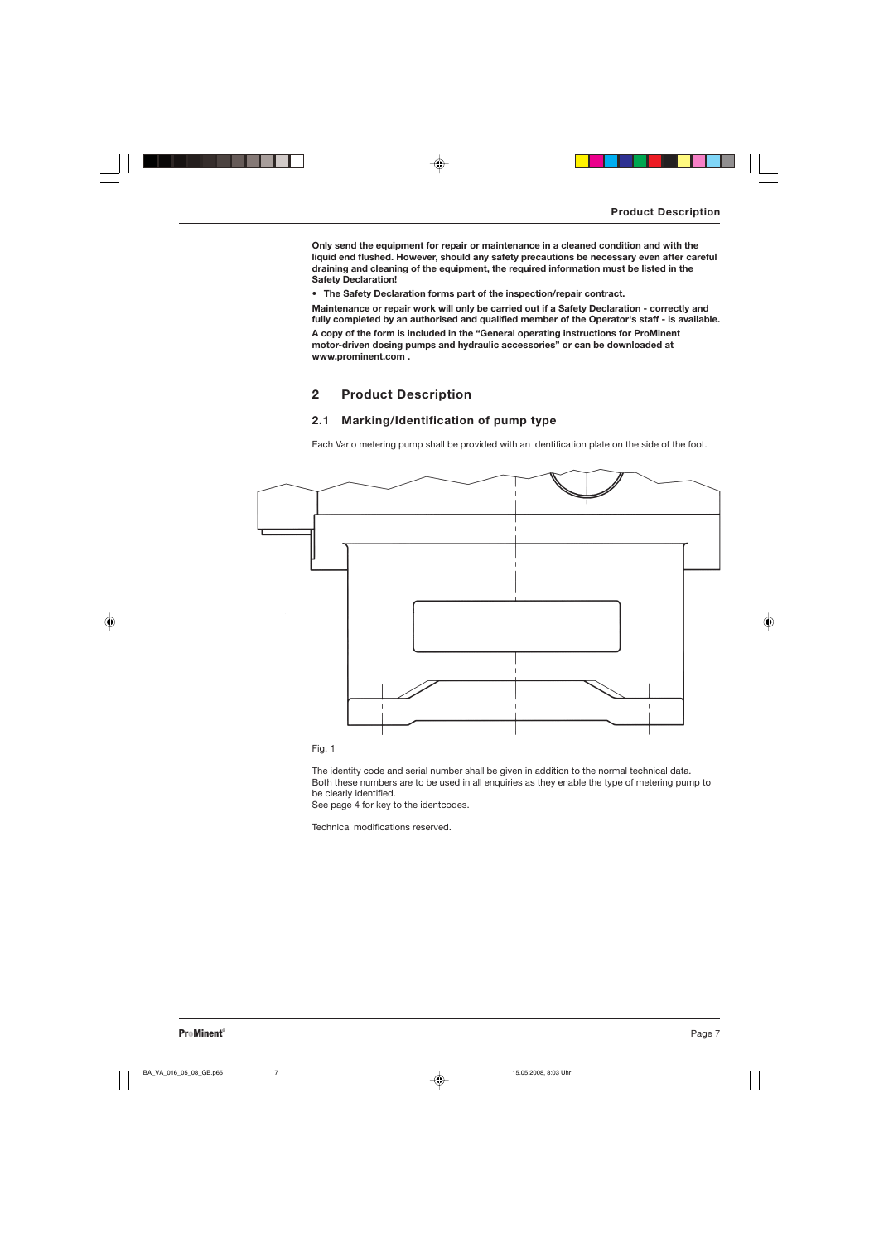**Only send the equipment for repair or maintenance in a cleaned condition and with the liquid end flushed. However, should any safety precautions be necessary even after careful draining and cleaning of the equipment, the required information must be listed in the Safety Declaration!**

*•* **The Safety Declaration forms part of the inspection/repair contract.**

**Maintenance or repair work will only be carried out if a Safety Declaration - correctly and fully completed by an authorised and qualified member of the Operator's staff - is available. A copy of the form is included in the "General operating instructions for ProMinent motor-driven dosing pumps and hydraulic accessories" or can be downloaded at www.prominent.com .**

## **2 Product Description**

## **2.1 Marking/Identification of pump type**

Each Vario metering pump shall be provided with an identification plate on the side of the foot.





The identity code and serial number shall be given in addition to the normal technical data. Both these numbers are to be used in all enquiries as they enable the type of metering pump to be clearly identified.

See page 4 for key to the identcodes.

Technical modifications reserved.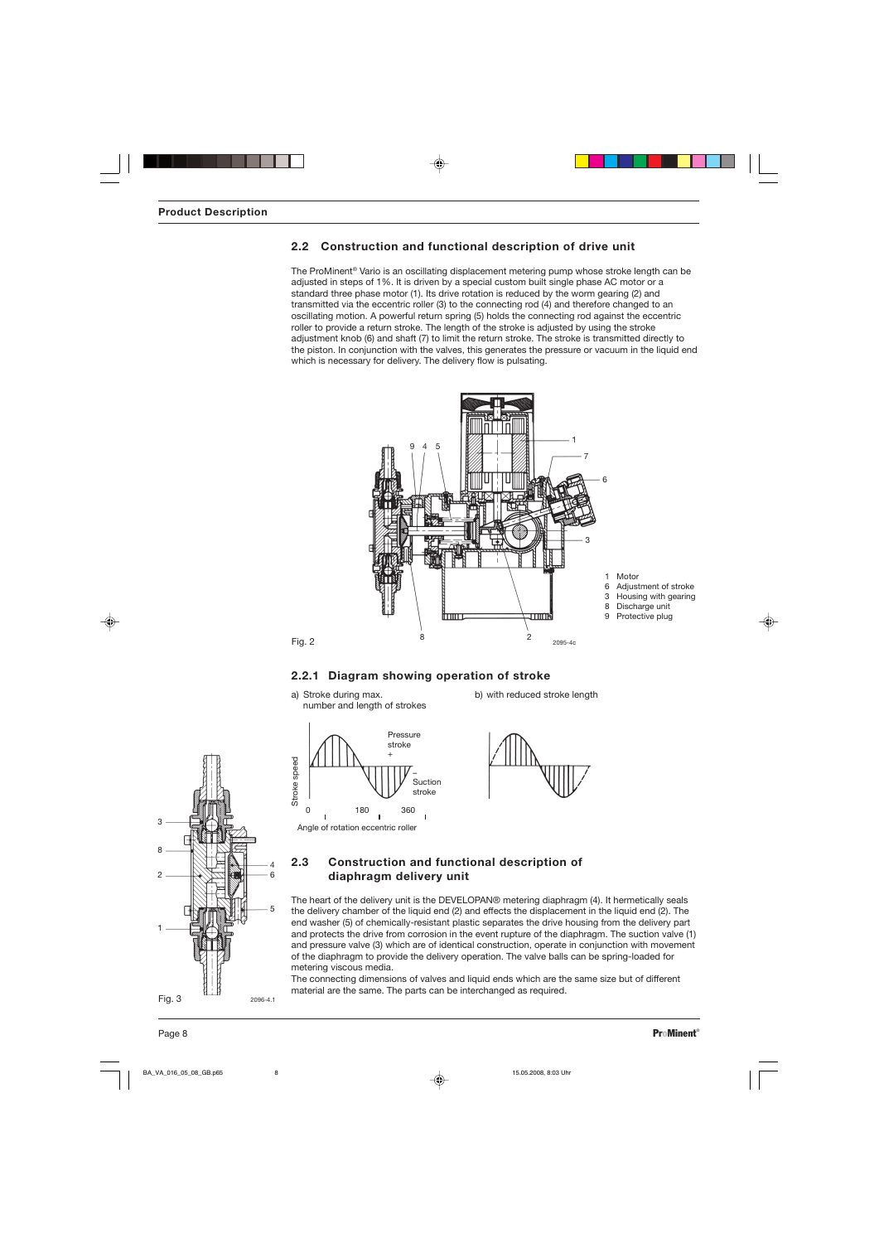## **2.2 Construction and functional description of drive unit**

The ProMinent® Vario is an oscillating displacement metering pump whose stroke length can be adjusted in steps of 1%. It is driven by a special custom built single phase AC motor or a standard three phase motor (1). Its drive rotation is reduced by the worm gearing (2) and transmitted via the eccentric roller (3) to the connecting rod (4) and therefore changed to an oscillating motion. A powerful return spring (5) holds the connecting rod against the eccentric roller to provide a return stroke. The length of the stroke is adjusted by using the stroke adjustment knob (6) and shaft (7) to limit the return stroke. The stroke is transmitted directly to the piston. In conjunction with the valves, this generates the pressure or vacuum in the liquid end which is necessary for delivery. The delivery flow is pulsating.



## **2.2.1 Diagram showing operation of stroke**

a) Stroke during max. b) with reduced stroke length number and length of strokes







## **2.3 Construction and functional description of diaphragm delivery unit**

The heart of the delivery unit is the DEVELOPAN® metering diaphragm (4). It hermetically seals the delivery chamber of the liquid end (2) and effects the displacement in the liquid end (2). The end washer (5) of chemically-resistant plastic separates the drive housing from the delivery part and protects the drive from corrosion in the event rupture of the diaphragm. The suction valve (1) and pressure valve (3) which are of identical construction, operate in conjunction with movement of the diaphragm to provide the delivery operation. The valve balls can be spring-loaded for metering viscous media.

The connecting dimensions of valves and liquid ends which are the same size but of different material are the same. The parts can be interchanged as required.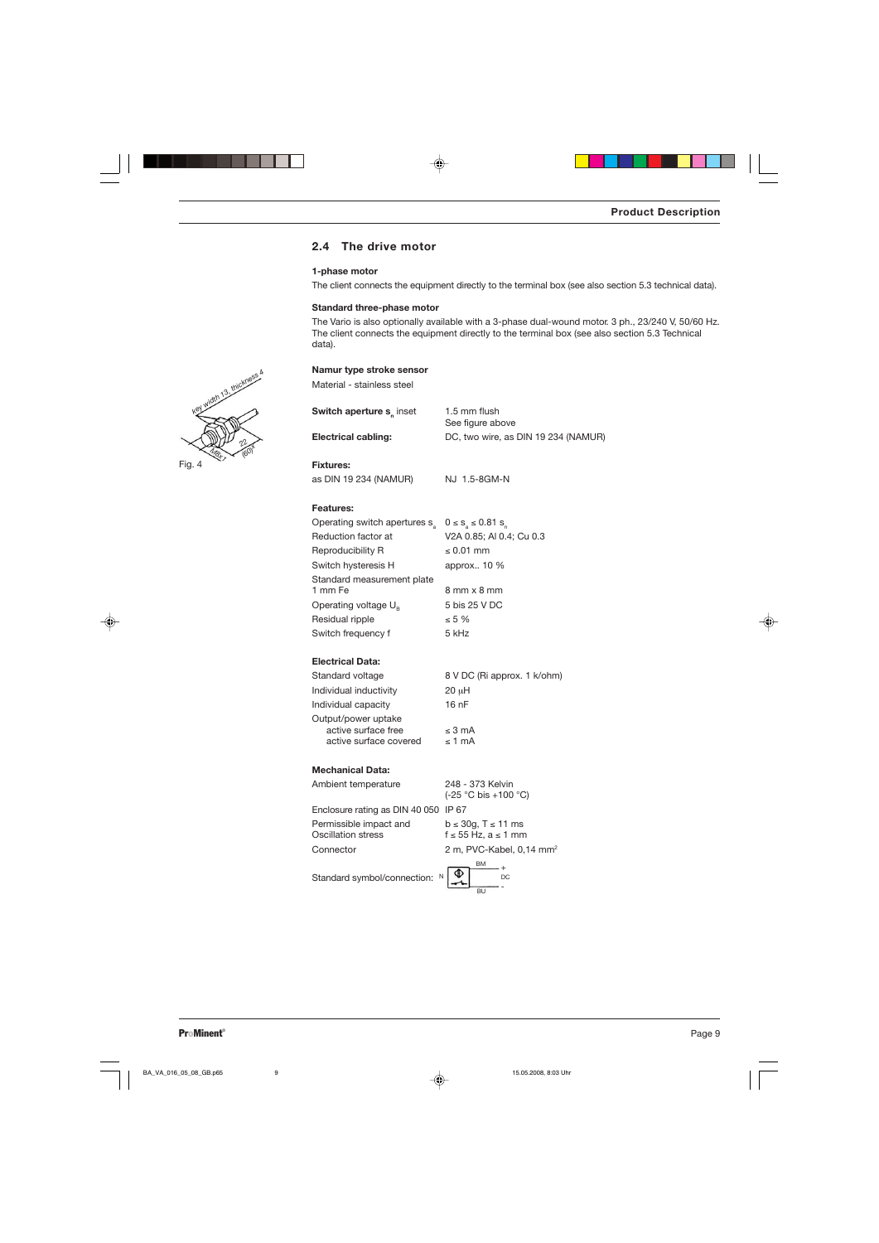## **2.4 The drive motor**

### **1-phase motor**

The client connects the equipment directly to the terminal box (see also section 5.3 technical data).

#### **Standard three-phase motor**

**Namur type stroke sensor**

The Vario is also optionally available with a 3-phase dual-wound motor. 3 ph., 23/240 V, 50/60 Hz. The client connects the equipment directly to the terminal box (see also section 5.3 Technical data).

| Material - stainless steel                   |                                                            |
|----------------------------------------------|------------------------------------------------------------|
| Switch aperture s <sub>n</sub> inset         | 1.5 mm flush<br>See figure above                           |
| <b>Electrical cabling:</b>                   | DC, two wire, as DIN 19 234 (NAMUR)                        |
| <b>Fixtures:</b>                             |                                                            |
| as DIN 19 234 (NAMUR)                        | NJ 1.5-8GM-N                                               |
| <b>Features:</b>                             |                                                            |
| Operating switch apertures s <sub>3</sub>    | $0 \le s_{a} \le 0.81 s_{n}$                               |
| Reduction factor at                          | V2A 0.85; Al 0.4; Cu 0.3                                   |
| Reproducibility R                            | $\leq 0.01$ mm                                             |
| Switch hysteresis H                          | approx 10 %                                                |
| Standard measurement plate                   |                                                            |
| 1 mm Fe                                      | 8 mm x 8 mm                                                |
| Operating voltage $U_{\rm B}$                | 5 bis 25 V DC                                              |
| Residual ripple                              | $\leq 5\%$                                                 |
| Switch frequency f                           | 5 kHz                                                      |
| <b>Electrical Data:</b>                      |                                                            |
| Standard voltage                             | 8 V DC (Ri approx. 1 k/ohm)                                |
| Individual inductivity                       | $20 \mu H$                                                 |
| Individual capacity                          | 16 <sub>nP</sub>                                           |
| Output/power uptake                          |                                                            |
| active surface free                          | ≤ 3 mA                                                     |
| active surface covered                       | $\leq 1$ mA                                                |
| <b>Mechanical Data:</b>                      |                                                            |
| Ambient temperature                          | 248 - 373 Kelvin<br>(-25 °C bis +100 °C)                   |
| Enclosure rating as DIN 40 050 IP 67         |                                                            |
| Permissible impact and<br>Oscillation stress | $b \le 30g$ , T $\le 11$ ms<br>$f \le 55$ Hz, $a \le 1$ mm |
| Connector                                    | 2 m, PVC-Kabel, 0,14 mm <sup>2</sup>                       |
| Standard symbol/connection:<br>N             | ВM<br>DC                                                   |

BU

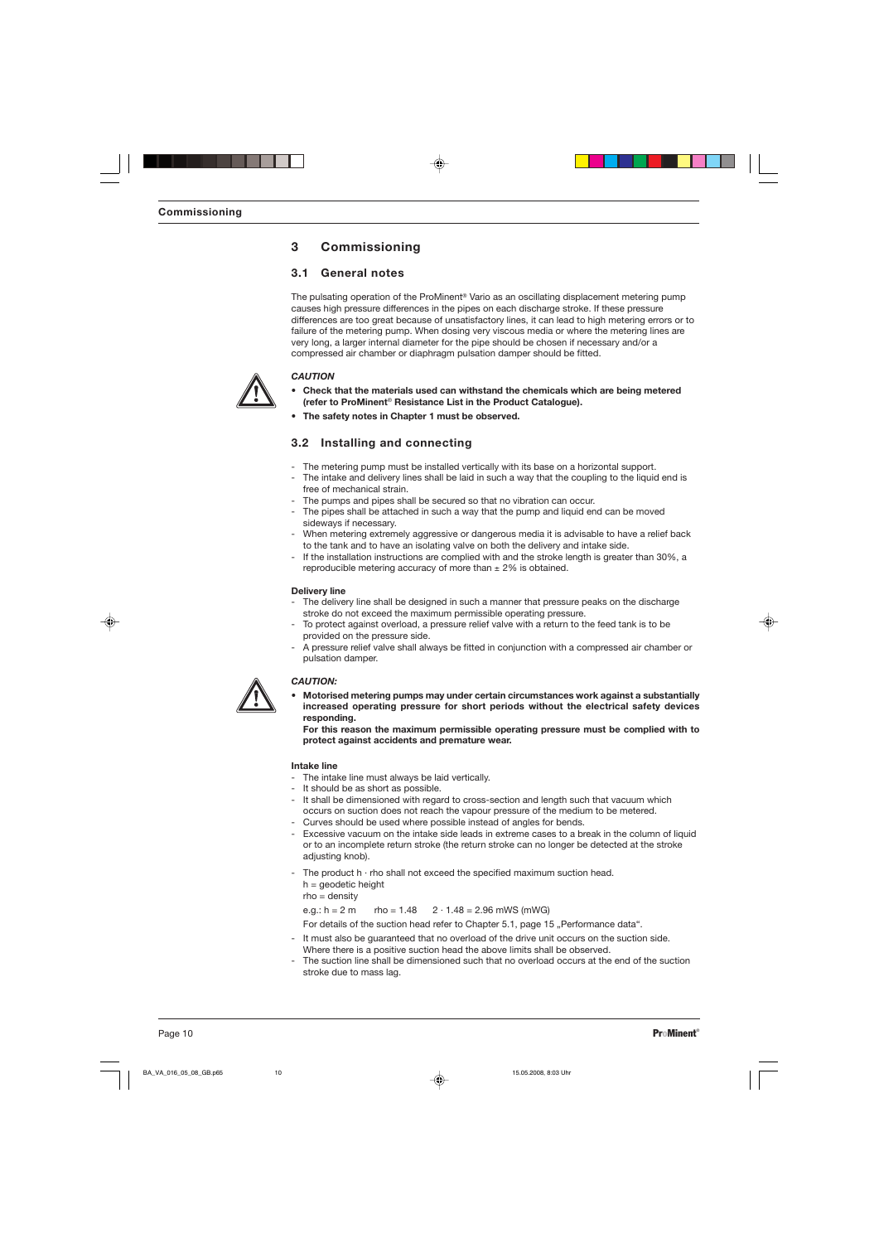# **3 Commissioning**

## **3.1 General notes**

The pulsating operation of the ProMinent® Vario as an oscillating displacement metering pump causes high pressure differences in the pipes on each discharge stroke. If these pressure differences are too great because of unsatisfactory lines, it can lead to high metering errors or to failure of the metering pump. When dosing very viscous media or where the metering lines are very long, a larger internal diameter for the pipe should be chosen if necessary and/or a compressed air chamber or diaphragm pulsation damper should be fitted.

## *CAUTION*

- **• Check that the materials used can withstand the chemicals which are being metered (refer to ProMinent**® **Resistance List in the Product Catalogue).**
- **• The safety notes in Chapter 1 must be observed.**

## **3.2 Installing and connecting**

- The metering pump must be installed vertically with its base on a horizontal support.
- The intake and delivery lines shall be laid in such a way that the coupling to the liquid end is free of mechanical strain.
- The pumps and pipes shall be secured so that no vibration can occur.
- The pipes shall be attached in such a way that the pump and liquid end can be moved sideways if necessary.
- When metering extremely aggressive or dangerous media it is advisable to have a relief back to the tank and to have an isolating valve on both the delivery and intake side.
- If the installation instructions are complied with and the stroke length is greater than 30%, a reproducible metering accuracy of more than  $\pm$  2% is obtained.

#### **Delivery line**

- The delivery line shall be designed in such a manner that pressure peaks on the discharge stroke do not exceed the maximum permissible operating pressure.
- To protect against overload, a pressure relief valve with a return to the feed tank is to be provided on the pressure side.
- A pressure relief valve shall always be fitted in conjunction with a compressed air chamber or pulsation damper.

## *CAUTION:*

**• Motorised metering pumps may under certain circumstances work against a substantially increased operating pressure for short periods without the electrical safety devices responding.**

**For this reason the maximum permissible operating pressure must be complied with to protect against accidents and premature wear.**

#### **Intake line**

- The intake line must always be laid vertically.
- It should be as short as possible.
- It shall be dimensioned with regard to cross-section and length such that vacuum which occurs on suction does not reach the vapour pressure of the medium to be metered.
- Curves should be used where possible instead of angles for bends.
- Excessive vacuum on the intake side leads in extreme cases to a break in the column of liquid or to an incomplete return stroke (the return stroke can no longer be detected at the stroke adjusting knob).
- The product  $h \cdot rh$ o shall not exceed the specified maximum suction head.  $h =$  geodetic height

rho = density

e.g.:  $h = 2 m$  rho = 1.48  $2 \cdot 1.48 = 2.96$  mWS (mWG)

For details of the suction head refer to Chapter 5.1, page 15 "Performance data".

- It must also be guaranteed that no overload of the drive unit occurs on the suction side. Where there is a positive suction head the above limits shall be observed.
- The suction line shall be dimensioned such that no overload occurs at the end of the suction stroke due to mass lag.

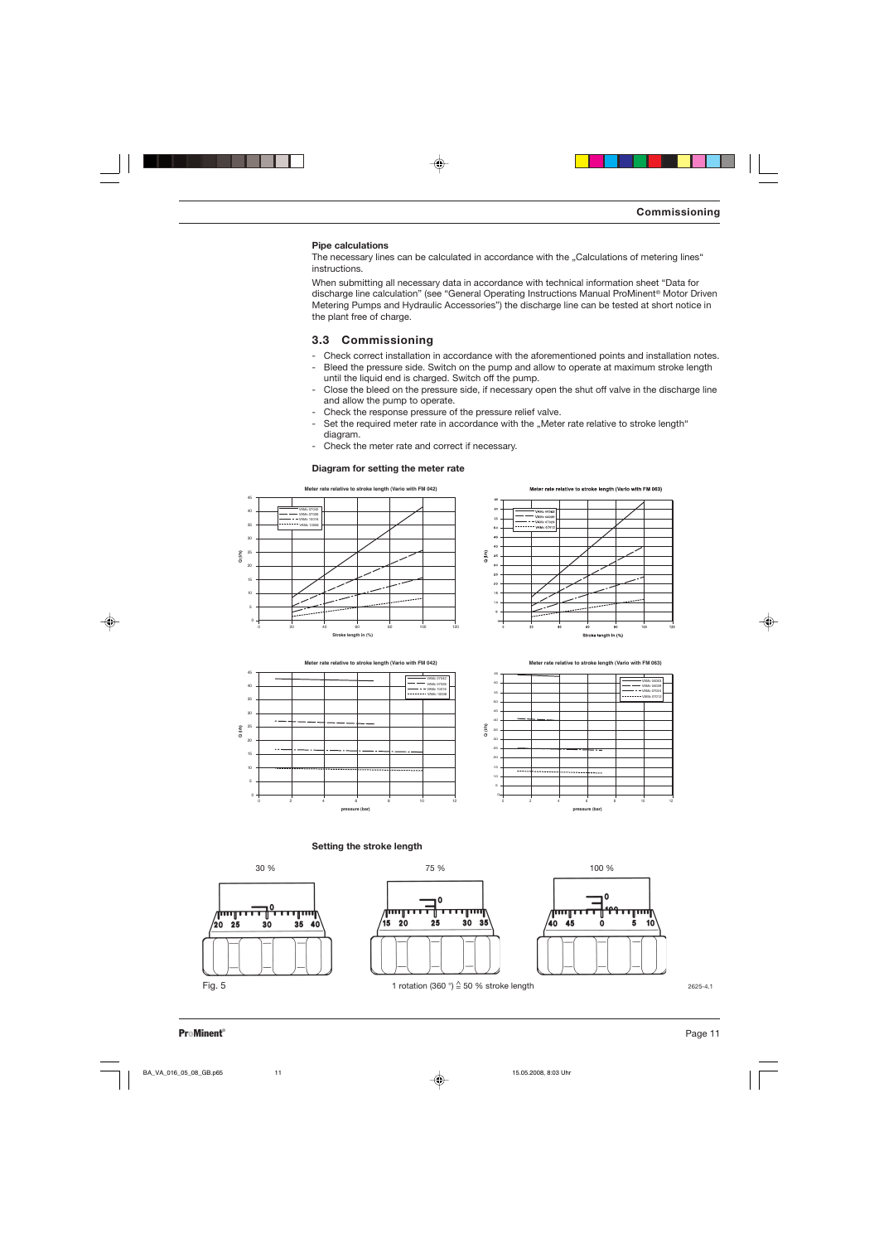#### **Pipe calculations**

The necessary lines can be calculated in accordance with the "Calculations of metering lines" instructions.

When submitting all necessary data in accordance with technical information sheet "Data for discharge line calculation" (see "General Operating Instructions Manual ProMinent® Motor Driven Metering Pumps and Hydraulic Accessories") the discharge line can be tested at short notice in the plant free of charge.

## **3.3 Commissioning**

- Check correct installation in accordance with the aforementioned points and installation notes.
- Bleed the pressure side. Switch on the pump and allow to operate at maximum stroke length until the liquid end is charged. Switch off the pump.
- Close the bleed on the pressure side, if necessary open the shut off valve in the discharge line and allow the pump to operate.
- Check the response pressure of the pressure relief valve.
- Set the required meter rate in accordance with the "Meter rate relative to stroke length" diagram.
- Check the meter rate and correct if necessary.

#### **Diagram for setting the meter rate**











**Setting the stroke length**



 $\mathbf 0$ փողը गाग्गा ⋔ 15  $\overline{20}$  $30<sup>2</sup>$  $35$ 25



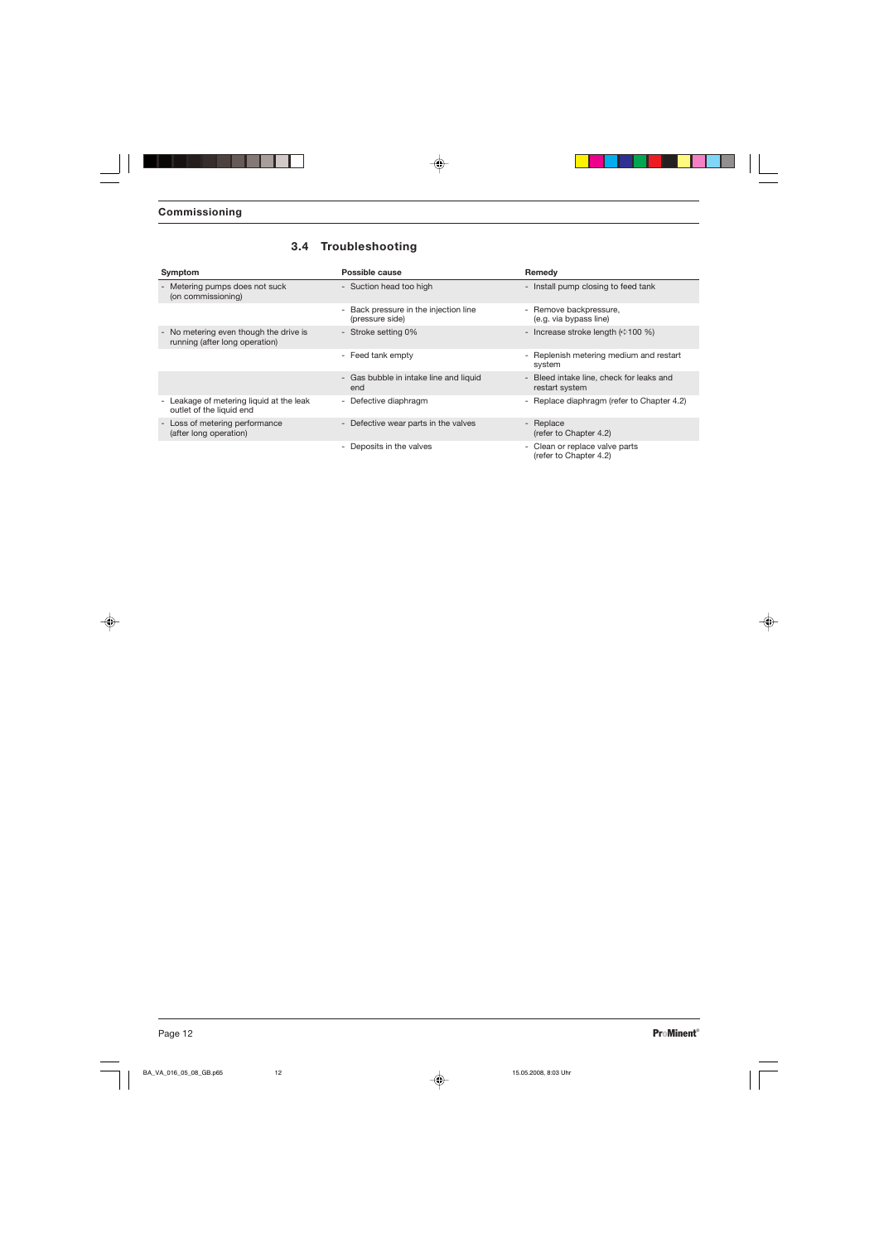| Symptom                                                                  | Possible cause                                              | Remedy                                                     |
|--------------------------------------------------------------------------|-------------------------------------------------------------|------------------------------------------------------------|
| - Metering pumps does not suck<br>(on commissioning)                     | - Suction head too high                                     | - Install pump closing to feed tank                        |
|                                                                          | Back pressure in the injection line<br>٠<br>(pressure side) | - Remove backpressure,<br>(e.g. via bypass line)           |
| - No metering even though the drive is<br>running (after long operation) | - Stroke setting 0%                                         | - Increase stroke length $(\Rightarrow 100\%)$             |
|                                                                          | - Feed tank empty                                           | - Replenish metering medium and restart<br>system          |
|                                                                          | - Gas bubble in intake line and liquid<br>end               | - Bleed intake line, check for leaks and<br>restart system |
| - Leakage of metering liquid at the leak<br>outlet of the liquid end     | - Defective diaphragm                                       | - Replace diaphragm (refer to Chapter 4.2)                 |
| - Loss of metering performance<br>(after long operation)                 | - Defective wear parts in the valves                        | - Replace<br>(refer to Chapter 4.2)                        |
|                                                                          | - Deposits in the valves                                    | - Clean or replace valve parts<br>(refer to Chapter 4.2)   |

# **3.4 Troubleshooting**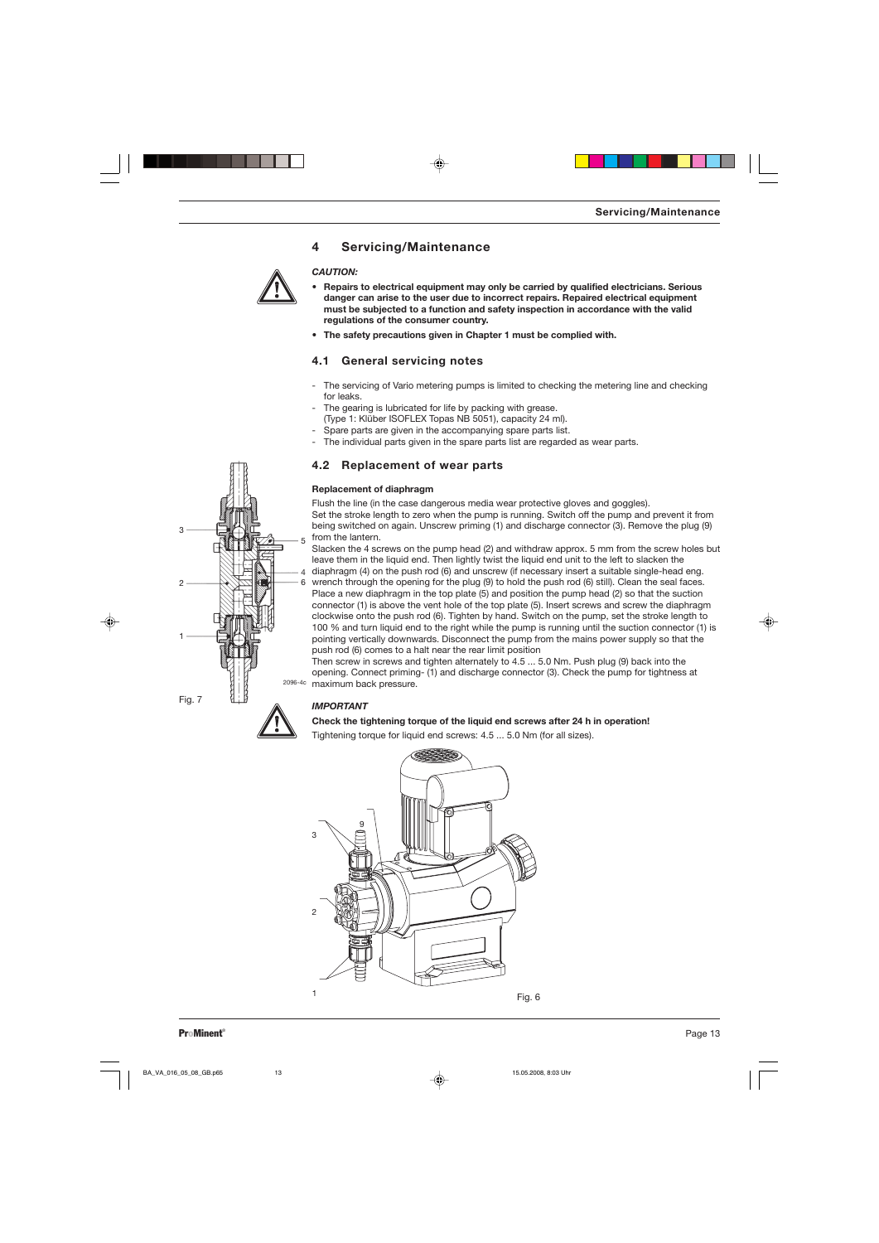## **4 Servicing/Maintenance**

### *CAUTION:*

- **• Repairs to electrical equipment may only be carried by qualified electricians. Serious danger can arise to the user due to incorrect repairs. Repaired electrical equipment must be subjected to a function and safety inspection in accordance with the valid regulations of the consumer country.**
- **• The safety precautions given in Chapter 1 must be complied with.**

## **4.1 General servicing notes**

- The servicing of Vario metering pumps is limited to checking the metering line and checking for leaks.
- The gearing is lubricated for life by packing with grease.
- (Type 1: Klüber ISOFLEX Topas NB 5051), capacity 24 ml).
- Spare parts are given in the accompanying spare parts list.
- The individual parts given in the spare parts list are regarded as wear parts.

## **4.2 Replacement of wear parts**

#### **Replacement of diaphragm**

Flush the line (in the case dangerous media wear protective gloves and goggles). Set the stroke length to zero when the pump is running. Switch off the pump and prevent it from being switched on again. Unscrew priming (1) and discharge connector (3). Remove the plug (9)

from the lantern. Slacken the 4 screws on the pump head (2) and withdraw approx. 5 mm from the screw holes but leave them in the liquid end. Then lightly twist the liquid end unit to the left to slacken the 4 diaphragm (4) on the push rod (6) and unscrew (if necessary insert a suitable single-head eng. 6 wrench through the opening for the plug (9) to hold the push rod (6) still). Clean the seal faces. Place a new diaphragm in the top plate (5) and position the pump head (2) so that the suction connector (1) is above the vent hole of the top plate (5). Insert screws and screw the diaphragm clockwise onto the push rod (6). Tighten by hand. Switch on the pump, set the stroke length to 100 % and turn liquid end to the right while the pump is running until the suction connector (1) is pointing vertically downwards. Disconnect the pump from the mains power supply so that the push rod (6) comes to a halt near the rear limit position

Then screw in screws and tighten alternately to 4.5 ... 5.0 Nm. Push plug (9) back into the opening. Connect priming- (1) and discharge connector (3). Check the pump for tightness at 2096-4c maximum back pressure.

### *IMPORTANT*

#### **Check the tightening torque of the liquid end screws after 24 h in operation!**

Tightening torque for liquid end screws: 4.5 ... 5.0 Nm (for all sizes).



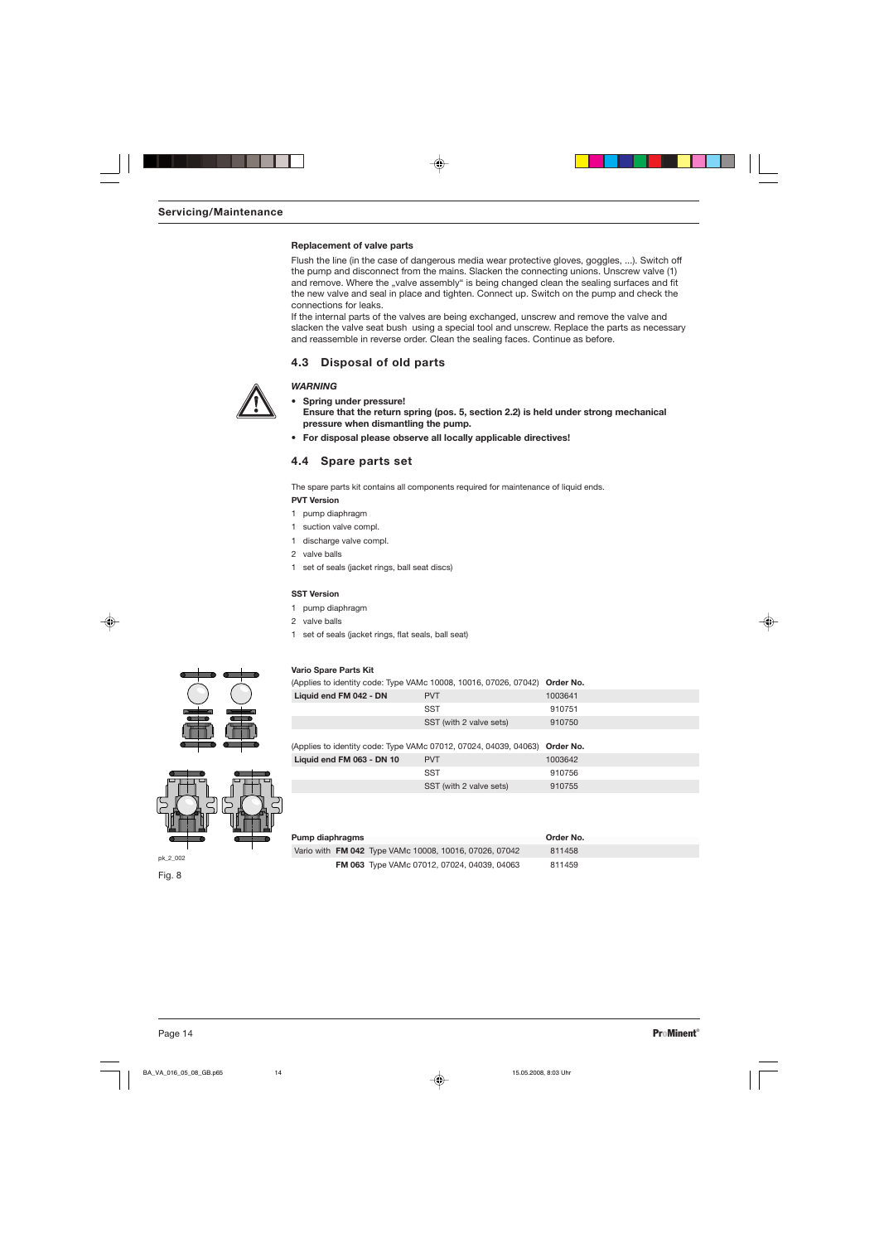#### **Replacement of valve parts**

Flush the line (in the case of dangerous media wear protective gloves, goggles, ...). Switch off the pump and disconnect from the mains. Slacken the connecting unions. Unscrew valve (1) and remove. Where the "valve assembly" is being changed clean the sealing surfaces and fit the new valve and seal in place and tighten. Connect up. Switch on the pump and check the connections for leaks.

If the internal parts of the valves are being exchanged, unscrew and remove the valve and slacken the valve seat bush using a special tool and unscrew. Replace the parts as necessary and reassemble in reverse order. Clean the sealing faces. Continue as before.

## **4.3 Disposal of old parts**

### *WARNING*

**• Spring under pressure!**

- **Ensure that the return spring (pos. 5, section 2.2) is held under strong mechanical pressure when dismantling the pump.**
- **• For disposal please observe all locally applicable directives!**

## **4.4 Spare parts set**

The spare parts kit contains all components required for maintenance of liquid ends.

#### **PVT Version**

- 1 pump diaphragm
- 1 suction valve compl.
- 1 discharge valve compl.
- 2 valve balls
- 1 set of seals (jacket rings, ball seat discs)

#### **SST Version**

- 1 pump diaphragm
- 2 valve balls
- 1 set of seals (jacket rings, flat seals, ball seat)



### **Vario Spare Parts Kit**

| <b>PVT</b>              | 1003641                                                                    |
|-------------------------|----------------------------------------------------------------------------|
| SST                     | 910751                                                                     |
| SST (with 2 valve sets) | 910750                                                                     |
|                         | (Applies to identity code: Type VAMc 10008, 10016, 07026, 07042) Order No. |

| (Applies to identity code: Type VAMc 07012, 07024, 04039, 04063) Order No. |                         |         |
|----------------------------------------------------------------------------|-------------------------|---------|
| Liquid end FM 063 - DN 10                                                  | <b>PVT</b>              | 1003642 |
|                                                                            | SST                     | 910756  |
|                                                                            | SST (with 2 valve sets) | 910755  |

| pk_2_002 |  |  |
|----------|--|--|

| Pump diaphragms                                        | Order No. |
|--------------------------------------------------------|-----------|
| Vario with FM 042 Type VAMc 10008, 10016, 07026, 07042 | 811458    |
| <b>FM 063</b> Type VAMc 07012, 07024, 04039, 04063     | 811459    |

Fig. 8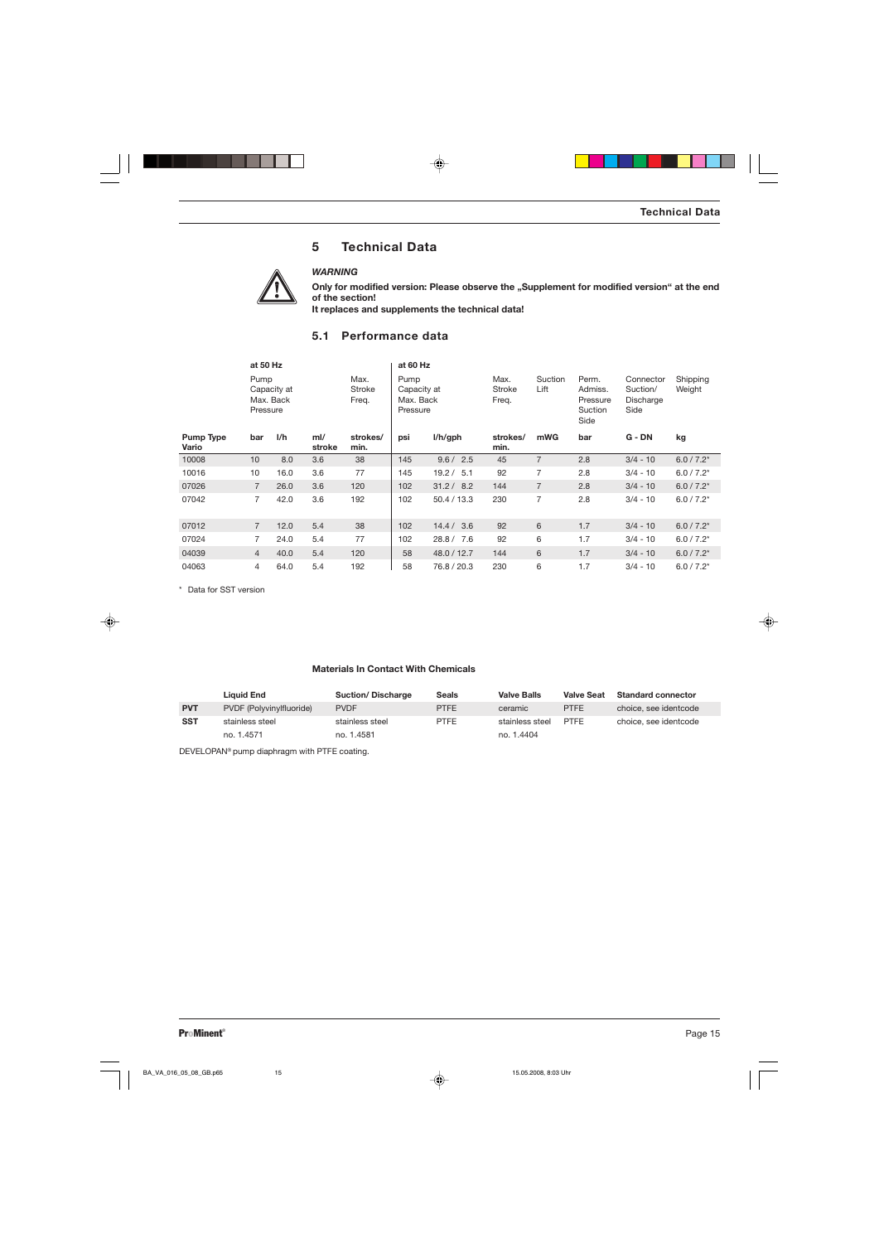# **5 Technical Data**



*WARNING*

Only for modified version: Please observe the "Supplement for modified version" at the end **of the section!**

**It replaces and supplements the technical data!**

## **5.1 Performance data**

|                           | at 50 Hz                                     |      |               |                         | at 60 Hz                                     |             |                         |                 |                                                 |                                            |                    |
|---------------------------|----------------------------------------------|------|---------------|-------------------------|----------------------------------------------|-------------|-------------------------|-----------------|-------------------------------------------------|--------------------------------------------|--------------------|
|                           | Pump<br>Capacity at<br>Max. Back<br>Pressure |      |               | Max.<br>Stroke<br>Freq. | Pump<br>Capacity at<br>Max. Back<br>Pressure |             | Max.<br>Stroke<br>Freq. | Suction<br>Lift | Perm.<br>Admiss.<br>Pressure<br>Suction<br>Side | Connector<br>Suction/<br>Discharge<br>Side | Shipping<br>Weight |
| <b>Pump Type</b><br>Vario | bar                                          | I/h  | ml/<br>stroke | strokes/<br>min.        | psi                                          | I/h/gph     | strokes/<br>min.        | mWG             | bar                                             | G - DN                                     | kg                 |
| 10008                     | 10                                           | 8.0  | 3.6           | 38                      | 145                                          | 9.6 / 2.5   | 45                      | $\overline{7}$  | 2.8                                             | $3/4 - 10$                                 | $6.0 / 7.2^*$      |
| 10016                     | 10                                           | 16.0 | 3.6           | 77                      | 145                                          | 19.2 / 5.1  | 92                      | 7               | 2.8                                             | $3/4 - 10$                                 | $6.0 / 7.2*$       |
| 07026                     | $\overline{7}$                               | 26.0 | 3.6           | 120                     | 102                                          | 31.2 / 8.2  | 144                     | $\overline{7}$  | 2.8                                             | $3/4 - 10$                                 | $6.0 / 7.2^*$      |
| 07042                     | $\overline{7}$                               | 42.0 | 3.6           | 192                     | 102                                          | 50.4 / 13.3 | 230                     | $\overline{7}$  | 2.8                                             | $3/4 - 10$                                 | $6.0 / 7.2*$       |
| 07012                     | $\overline{7}$                               | 12.0 | 5.4           | 38                      | 102                                          | 14.4 / 3.6  | 92                      | 6               | 1.7                                             | $3/4 - 10$                                 | $6.0 / 7.2^*$      |
| 07024                     | $\overline{7}$                               | 24.0 | 5.4           | 77                      | 102                                          | 28.8 / 7.6  | 92                      | 6               | 1.7                                             | $3/4 - 10$                                 | $6.0 / 7.2*$       |
| 04039                     | $\overline{4}$                               | 40.0 | 5.4           | 120                     | 58                                           | 48.0 / 12.7 | 144                     | 6               | 1.7                                             | $3/4 - 10$                                 | $6.0 / 7.2^*$      |
| 04063                     | $\overline{4}$                               | 64.0 | 5.4           | 192                     | 58                                           | 76.8 / 20.3 | 230                     | 6               | 1.7                                             | $3/4 - 10$                                 | $6.0 / 7.2*$       |

\* Data for SST version

## **Materials In Contact With Chemicals**

|            | <b>Liquid End</b>        | <b>Suction/Discharge</b> | <b>Seals</b> | <b>Valve Balls</b> | <b>Valve Seat</b> | <b>Standard connector</b> |
|------------|--------------------------|--------------------------|--------------|--------------------|-------------------|---------------------------|
| <b>PVT</b> | PVDF (Polyvinylfluoride) | <b>PVDF</b>              | <b>PTFE</b>  | ceramic            | <b>PTFE</b>       | choice, see identcode     |
| <b>SST</b> | stainless steel          | stainless steel          | <b>PTFE</b>  | stainless steel    | PTFF              | choice, see identcode     |
|            | no. 1.4571               | no. 1.4581               |              | no. 1.4404         |                   |                           |

DEVELOPAN® pump diaphragm with PTFE coating.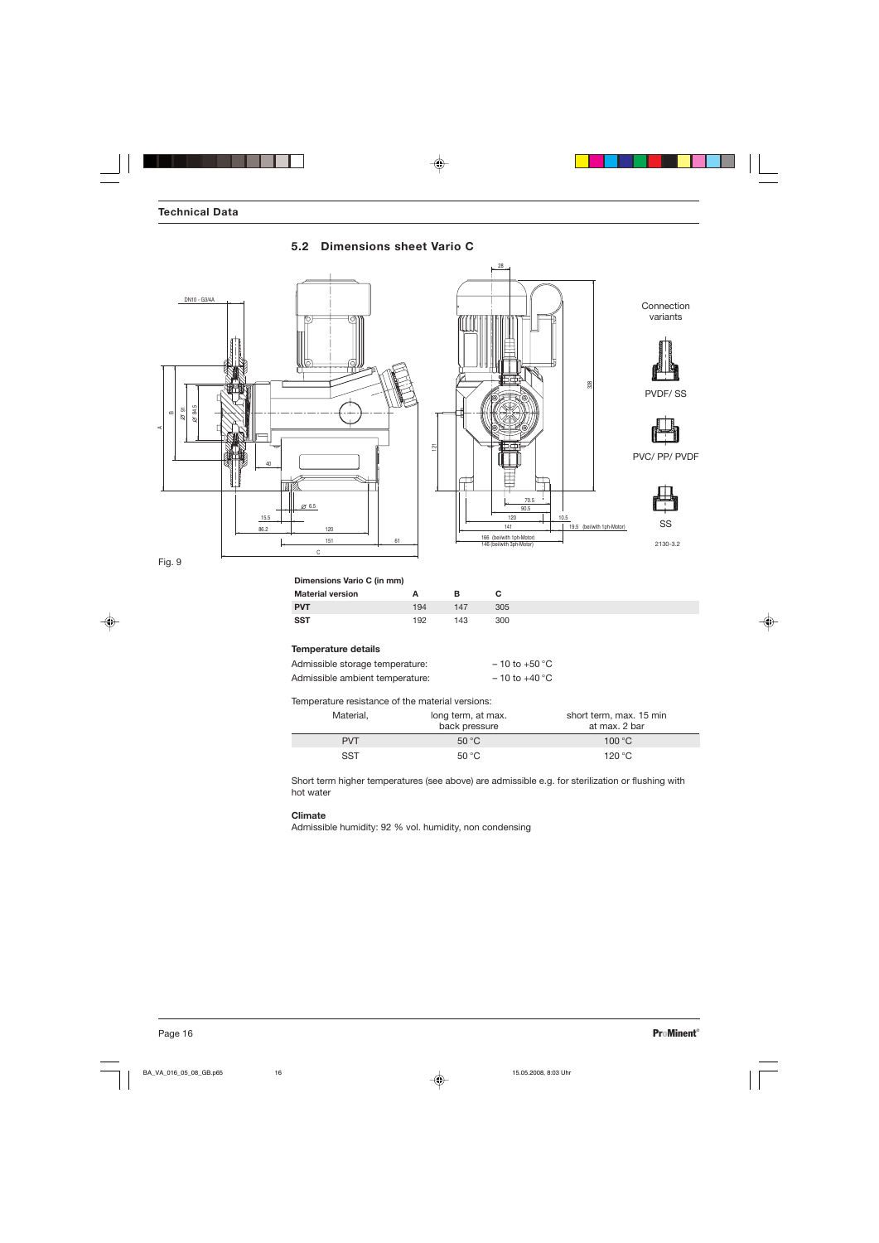



Fig. 9

**Dimensions Vario C (in mm)**

| <b>Material version</b> |     | R   | С   |
|-------------------------|-----|-----|-----|
| PVT.                    | 194 | 147 | 305 |
| SST                     | 192 | 143 | 300 |

## **Temperature details**

| Admissible storage temperature: | $-10$ to +50 °C   |
|---------------------------------|-------------------|
| Admissible ambient temperature: | $-10$ to $+40$ °C |

Temperature resistance of the material versions:

| Material,  | long term, at max.<br>back pressure | short term, max. 15 min<br>at max. 2 bar |
|------------|-------------------------------------|------------------------------------------|
| <b>PVT</b> | $50^{\circ}$ C                      | $100\,^{\circ}\mathrm{C}$                |
| <b>SST</b> | $50^{\circ}$ C                      | 120 $^{\circ}$ C                         |

Short term higher temperatures (see above) are admissible e.g. for sterilization or flushing with hot water

#### **Climate**

Admissible humidity: 92 % vol. humidity, non condensing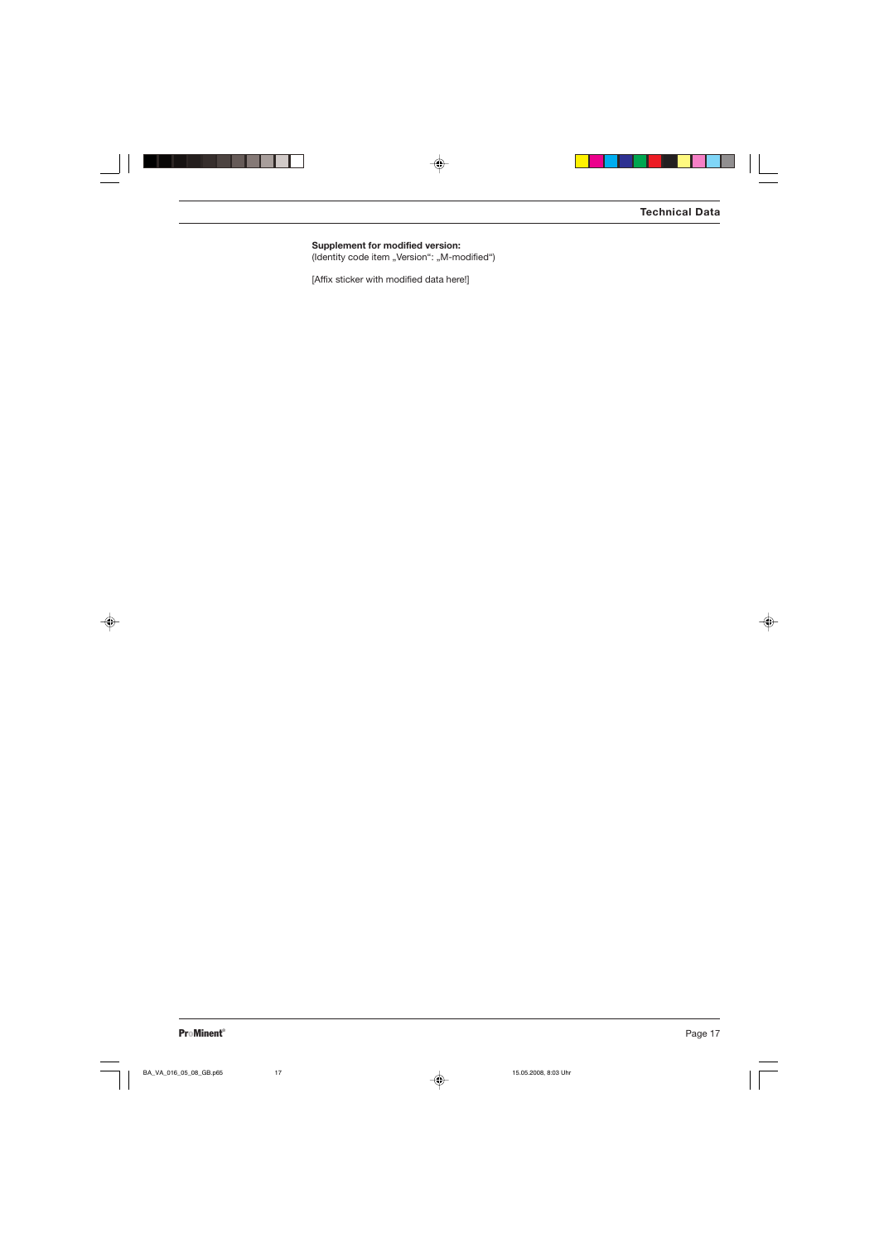**Supplement for modified version:** (Identity code item "Version": "M-modified")

[Affix sticker with modified data here!]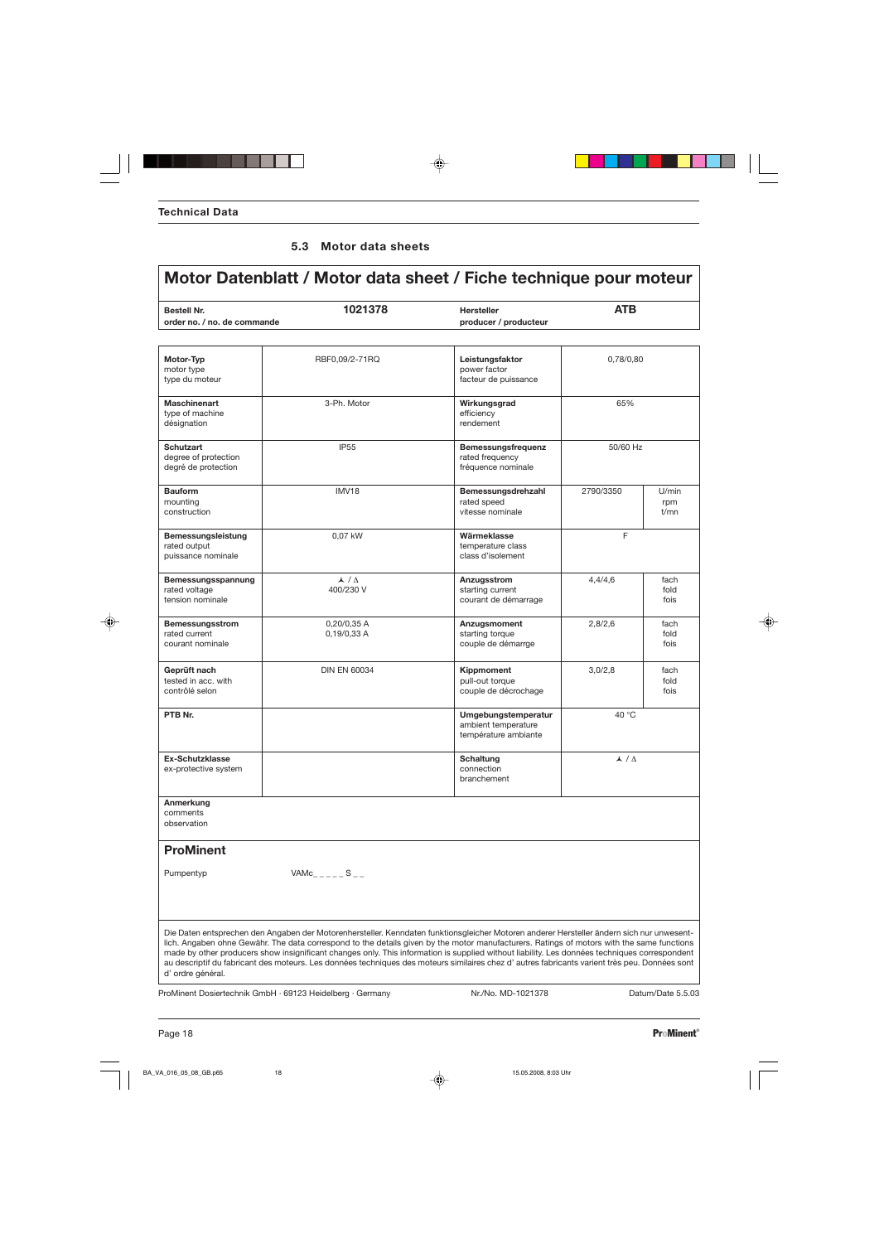## **5.3 Motor data sheets**

| <b>Bestell Nr.</b><br>order no. / no. de commande                                                                                             | 1021378                         | <b>Hersteller</b><br>producer / producteur                                                                                                                                                                                                                                                                                                                                                                                              | <b>ATB</b>         |                      |
|-----------------------------------------------------------------------------------------------------------------------------------------------|---------------------------------|-----------------------------------------------------------------------------------------------------------------------------------------------------------------------------------------------------------------------------------------------------------------------------------------------------------------------------------------------------------------------------------------------------------------------------------------|--------------------|----------------------|
| Motor-Typ<br>motor type<br>type du moteur                                                                                                     | RBF0,09/2-71RQ                  | Leistungsfaktor<br>power factor<br>facteur de puissance                                                                                                                                                                                                                                                                                                                                                                                 | 0,78/0,80          |                      |
| <b>Maschinenart</b><br>type of machine<br>désignation                                                                                         | 3-Ph. Motor                     | Wirkungsgrad<br>efficiency<br>rendement                                                                                                                                                                                                                                                                                                                                                                                                 | 65%                |                      |
| <b>Schutzart</b><br>degree of protection<br>degré de protection                                                                               | <b>IP55</b>                     | Bemessungsfrequenz<br>rated frequency<br>fréquence nominale                                                                                                                                                                                                                                                                                                                                                                             | 50/60 Hz           |                      |
| <b>Bauform</b><br>mounting<br>construction                                                                                                    | <b>IMV18</b>                    | Bemessungsdrehzahl<br>rated speed<br>vitesse nominale                                                                                                                                                                                                                                                                                                                                                                                   | 2790/3350          | U/min<br>rpm<br>t/mn |
| Bemessungsleistung<br>rated output<br>puissance nominale                                                                                      | 0,07 kW                         | Wärmeklasse<br>temperature class<br>class d'isolement                                                                                                                                                                                                                                                                                                                                                                                   | F                  |                      |
| Bemessungsspannung<br>rated voltage<br>tension nominale                                                                                       | $\lambda / \Delta$<br>400/230 V | Anzugsstrom<br>starting current<br>courant de démarrage                                                                                                                                                                                                                                                                                                                                                                                 | 4,4/4,6            | fach<br>fold<br>fois |
| Bemessungsstrom<br>rated current<br>courant nominale                                                                                          | 0,20/0,35 A<br>0,19/0,33 A      | Anzugsmoment<br>starting torque<br>couple de démarrge                                                                                                                                                                                                                                                                                                                                                                                   | 2,8/2,6            | fach<br>fold<br>fois |
| Geprüft nach<br>tested in acc. with<br>contrôlé selon                                                                                         | <b>DIN EN 60034</b>             | Kippmoment<br>pull-out torque<br>couple de décrochage                                                                                                                                                                                                                                                                                                                                                                                   | 3,0/2,8            | fach<br>fold<br>fois |
| PTB Nr.                                                                                                                                       |                                 | Umgebungstemperatur<br>ambient temperature<br>température ambiante                                                                                                                                                                                                                                                                                                                                                                      | 40 °C              |                      |
| <b>Ex-Schutzklasse</b><br>ex-protective system                                                                                                |                                 | <b>Schaltung</b><br>connection<br>branchement                                                                                                                                                                                                                                                                                                                                                                                           | $\lambda / \Delta$ |                      |
| Anmerkung<br>comments<br>observation                                                                                                          |                                 |                                                                                                                                                                                                                                                                                                                                                                                                                                         |                    |                      |
| <b>ProMinent</b>                                                                                                                              |                                 |                                                                                                                                                                                                                                                                                                                                                                                                                                         |                    |                      |
| Pumpentyp                                                                                                                                     | $VAMc$ <sub>____</sub> _S__     |                                                                                                                                                                                                                                                                                                                                                                                                                                         |                    |                      |
| au descriptif du fabricant des moteurs. Les données techniques des moteurs similaires chez d'autres fabricants varient très peu. Données sont |                                 | Die Daten entsprechen den Angaben der Motorenhersteller. Kenndaten funktionsgleicher Motoren anderer Hersteller ändern sich nur unwesent-<br>lich. Angaben ohne Gewähr. The data correspond to the details given by the motor manufacturers. Ratings of motors with the same functions<br>made by other producers show insignificant changes only. This information is supplied without liability. Les données techniques correspondent |                    |                      |

ProMinent Dosiertechnik GmbH · 69123 Heidelberg · Germany Nr./No. MD-1021378 Datum/Date 5.5.03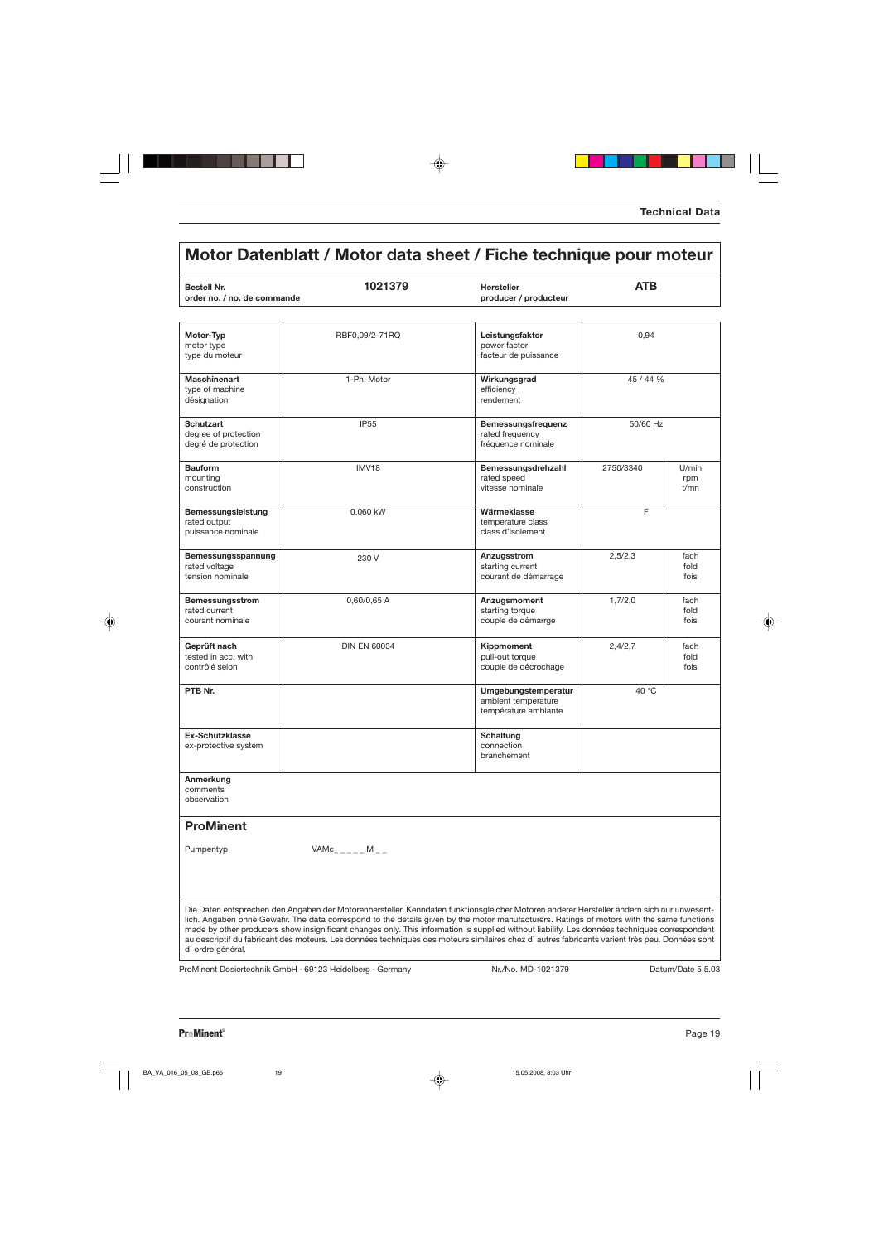# **Motor Datenblatt / Motor data sheet / Fiche technique pour moteur**

| <b>Bestell Nr.</b>                                                                                                                                                                                                                                                                                                                                                                                                                                                                                                                                                                                            | 1021379                  | <b>Hersteller</b>                                                  | <b>ATB</b> |                      |
|---------------------------------------------------------------------------------------------------------------------------------------------------------------------------------------------------------------------------------------------------------------------------------------------------------------------------------------------------------------------------------------------------------------------------------------------------------------------------------------------------------------------------------------------------------------------------------------------------------------|--------------------------|--------------------------------------------------------------------|------------|----------------------|
| order no. / no. de commande                                                                                                                                                                                                                                                                                                                                                                                                                                                                                                                                                                                   |                          | producer / producteur                                              |            |                      |
|                                                                                                                                                                                                                                                                                                                                                                                                                                                                                                                                                                                                               |                          |                                                                    |            |                      |
| Motor-Typ<br>motor type<br>type du moteur                                                                                                                                                                                                                                                                                                                                                                                                                                                                                                                                                                     | RBF0,09/2-71RQ           | Leistungsfaktor<br>power factor<br>facteur de puissance            | 0,94       |                      |
| <b>Maschinenart</b><br>type of machine<br>désignation                                                                                                                                                                                                                                                                                                                                                                                                                                                                                                                                                         | 1-Ph. Motor              | Wirkungsgrad<br>efficiency<br>rendement                            | 45 / 44 %  |                      |
| <b>Schutzart</b><br>degree of protection<br>degré de protection                                                                                                                                                                                                                                                                                                                                                                                                                                                                                                                                               | <b>IP55</b>              | Bemessungsfrequenz<br>rated frequency<br>fréquence nominale        | 50/60 Hz   |                      |
| <b>Bauform</b><br>mounting<br>construction                                                                                                                                                                                                                                                                                                                                                                                                                                                                                                                                                                    | <b>IMV18</b>             | Bemessungsdrehzahl<br>rated speed<br>vitesse nominale              | 2750/3340  | U/min<br>rpm<br>t/mn |
| Bemessungsleistung<br>rated output<br>puissance nominale                                                                                                                                                                                                                                                                                                                                                                                                                                                                                                                                                      | 0.060 kW                 | Wärmeklasse<br>temperature class<br>class d'isolement              | F          |                      |
| Bemessungsspannung<br>rated voltage<br>tension nominale                                                                                                                                                                                                                                                                                                                                                                                                                                                                                                                                                       | 230 V                    | Anzugsstrom<br>starting current<br>courant de démarrage            | 2,5/2,3    | fach<br>fold<br>fois |
| Bemessungsstrom<br>rated current<br>courant nominale                                                                                                                                                                                                                                                                                                                                                                                                                                                                                                                                                          | 0,60/0,65 A              | Anzugsmoment<br>starting torque<br>couple de démarrge              | 1,7/2,0    | fach<br>fold<br>fois |
| Geprüft nach<br>tested in acc. with<br>contrôlé selon                                                                                                                                                                                                                                                                                                                                                                                                                                                                                                                                                         | <b>DIN EN 60034</b>      | Kippmoment<br>pull-out torque<br>couple de décrochage              | 2,4/2,7    | fach<br>fold<br>fois |
| PTB Nr.                                                                                                                                                                                                                                                                                                                                                                                                                                                                                                                                                                                                       |                          | Umgebungstemperatur<br>ambient temperature<br>température ambiante | 40 °C      |                      |
| <b>Ex-Schutzklasse</b><br>ex-protective system                                                                                                                                                                                                                                                                                                                                                                                                                                                                                                                                                                |                          | Schaltung<br>connection<br>branchement                             |            |                      |
| Anmerkung<br>comments<br>observation                                                                                                                                                                                                                                                                                                                                                                                                                                                                                                                                                                          |                          |                                                                    |            |                      |
| <b>ProMinent</b>                                                                                                                                                                                                                                                                                                                                                                                                                                                                                                                                                                                              |                          |                                                                    |            |                      |
| Pumpentyp                                                                                                                                                                                                                                                                                                                                                                                                                                                                                                                                                                                                     | $VAMc_{- - - -} M_{- -}$ |                                                                    |            |                      |
| Die Daten entsprechen den Angaben der Motorenhersteller. Kenndaten funktionsgleicher Motoren anderer Hersteller ändern sich nur unwesent-<br>lich. Angaben ohne Gewähr. The data correspond to the details given by the motor manufacturers. Ratings of motors with the same functions<br>made by other producers show insignificant changes only. This information is supplied without liability. Les données techniques correspondent<br>au descriptif du fabricant des moteurs. Les données techniques des moteurs similaires chez d' autres fabricants varient très peu. Données sont<br>d'ordre général. |                          |                                                                    |            |                      |

ProMinent Dosiertechnik GmbH · 69123 Heidelberg · Germany Nr./No. MD-1021379 Datum/Date 5.5.03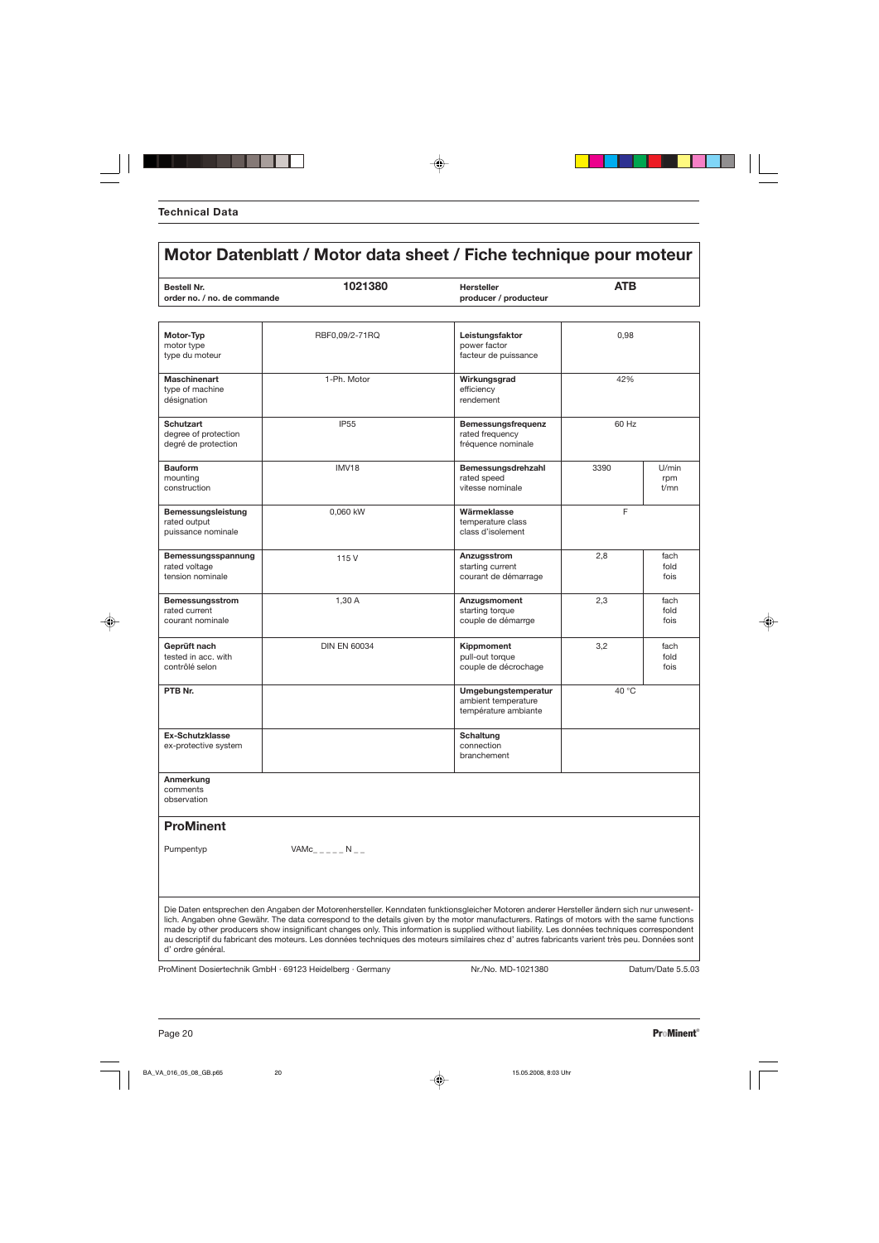# **Motor-Typ** RBF0,09/2-71RQ **Leistungsfaktor** 0,98 motor type power factor<br>type du moteur contractor is a power factor of the power factor of the power factor of the power factor<br>facteur de power factor is a power factor of the power factor of the power factor of the power tacteur de puissance **Maschinenart** 1-Ph. Motor **Wirkungsgrad** 42% type of machine efficiency<br>désignation efficiency<br>désignation désignation **Schutzart Bemessungsfrequenz** 60 Hz<br> **Bemessungsfrequenz** 60 Hz<br> **Bemessungsfrequency** degree of protection and the contraction rated frequency rated frequency rated frequency rated frequency rated frequency rated frequency rated frequency rated frequency rated frequency research in the contraction research degré de protection **Bauform** IMV18 IMV18 **Bemessungsdrehzahl** 3390 U/min<br>mounting rated speed rpm mounting rated speed rpm construction and the construction of the construction of the construction of the construction of the construction of the construction of the construction of the construction of the construction of the construction of the c **Bemessungsleistung** 0,060 kW **Wärmeklasse** Frated output Frated output temperature class<br>class d'isolement puissance nominale **Bemessungsspannung** 115 V **Anzugsstrom** 2,8 fach fach text text of the starting current 115 V and text of the starting current text of the starting current text of the starting current text of the starting current text of rated voltage starting current fold in the starting current fold in the starting current fold in the starting current fold tension nominale and the courant de démarrage fois the courant de démarrage fois **Bemessungsstrom** 1,30 A **Anzugsmoment** 2,3 fach taked current 2,3 fach taked current and taked current taked current taked current and taked current taked current taked current and taked current taked current taked curren rated current | starting torque | fold courant nominale subsets and the couple of the couple de démarrge subsets are fois **Geprüft nach** DIN EN 60034 **Kippmoment** 3,2 fach tested in acc. with fold<br>contrôlé selon de la contrôlé selon fois couple de décrochage fois **PTB Nr.** 40 °C ambient temperature température ambiante **Ex-Schutzklasse Schutzklasse Schutzklasse Schutzklasse Schutzklasse Schutzklasse Schutzklasse Schutzklasse Schu** ex-protective system and connection branchement **Anmerkung** comments observation **ProMinent** Pumpentyp  $VAMc_{---} N_{---} N_{---}$ Die Daten entsprechen den Angaben der Motorenhersteller. Kenndaten funktionsgleicher Motoren anderer Hersteller ändern sich nur unwesentlich. Angaben ohne Gewähr. The data correspond to the details given by the motor manufacturers. Ratings of motors with the same functions made by other producers show insignificant changes only. This information is supplied without liability. Les données techniques correspondent au descriptif du fabricant des moteurs. Les données techniques des moteurs similaires chez d' autres fabricants varient très peu. Données sont **Motor Datenblatt / Motor data sheet / Fiche technique pour moteur Bestell Nr. 1021380 Hersteller ATB order no. / no. de commande example 3 and producer / producteur producteur**

d' ordre général.

ProMinent Dosiertechnik GmbH · 69123 Heidelberg · Germany Nr./No. MD-1021380 Datum/Date 5.5.03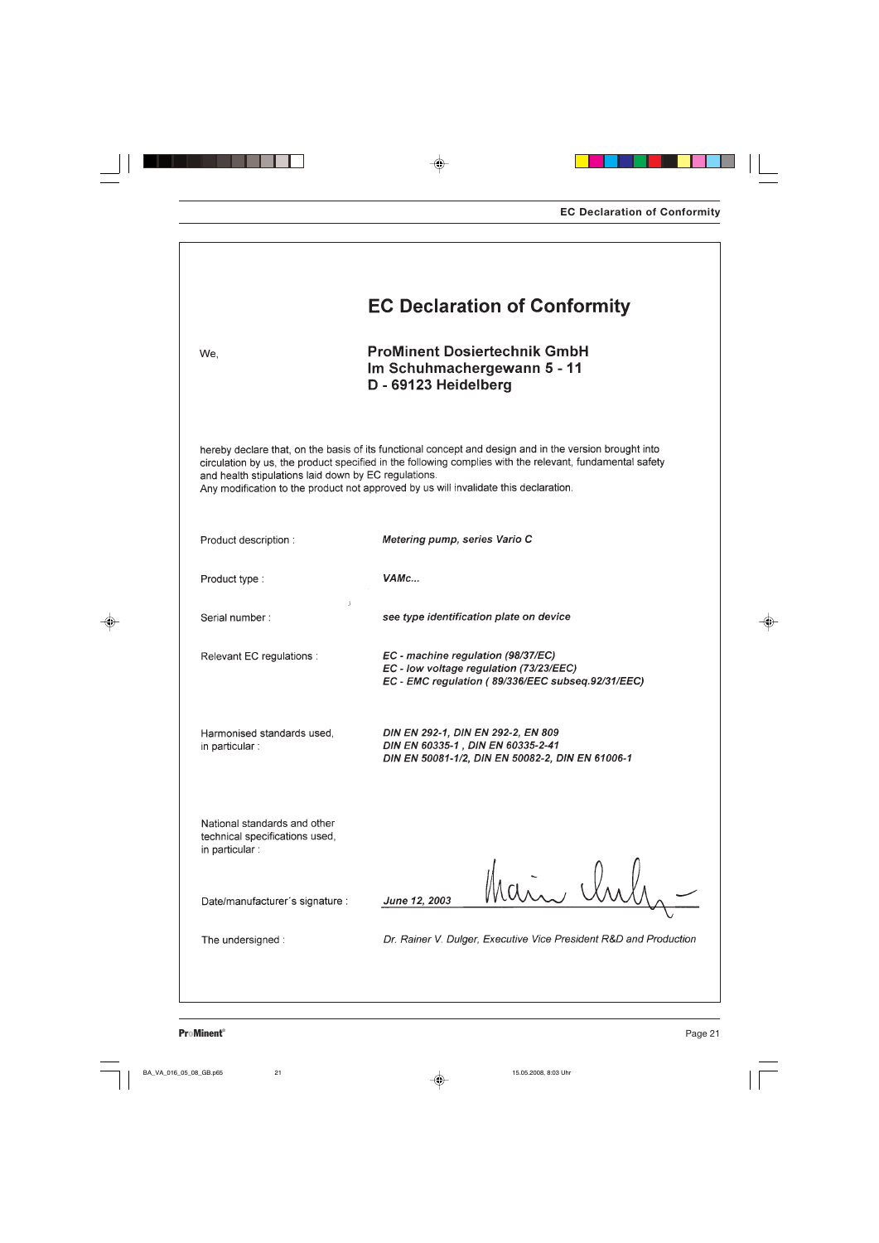|                                                                                   | <b>EC Declaration of Conformity</b>                                                                                                                                                                                                                                                                        |  |
|-----------------------------------------------------------------------------------|------------------------------------------------------------------------------------------------------------------------------------------------------------------------------------------------------------------------------------------------------------------------------------------------------------|--|
| We,                                                                               | <b>ProMinent Dosiertechnik GmbH</b><br>Im Schuhmachergewann 5 - 11<br>D - 69123 Heidelberg                                                                                                                                                                                                                 |  |
| and health stipulations laid down by EC regulations.                              | hereby declare that, on the basis of its functional concept and design and in the version brought into<br>circulation by us, the product specified in the following complies with the relevant, fundamental safety<br>Any modification to the product not approved by us will invalidate this declaration. |  |
| Product description :                                                             | Metering pump, series Vario C                                                                                                                                                                                                                                                                              |  |
| Product type:                                                                     | VAMc                                                                                                                                                                                                                                                                                                       |  |
| د<br>Serial number:                                                               | see type identification plate on device                                                                                                                                                                                                                                                                    |  |
| Relevant EC regulations :                                                         | EC - machine regulation (98/37/EC)<br>EC - low voltage regulation (73/23/EEC)<br>EC - EMC regulation (89/336/EEC subseq.92/31/EEC)                                                                                                                                                                         |  |
| Harmonised standards used,<br>in particular :                                     | DIN EN 292-1, DIN EN 292-2, EN 809<br>DIN EN 60335-1, DIN EN 60335-2-41<br>DIN EN 50081-1/2, DIN EN 50082-2, DIN EN 61006-1                                                                                                                                                                                |  |
| National standards and other<br>technical specifications used,<br>in particular : |                                                                                                                                                                                                                                                                                                            |  |
| Date/manufacturer's signature :                                                   | i. Un<br>June 12, 2003                                                                                                                                                                                                                                                                                     |  |
| The undersigned:                                                                  | Dr. Rainer V. Dulger, Executive Vice President R&D and Production                                                                                                                                                                                                                                          |  |